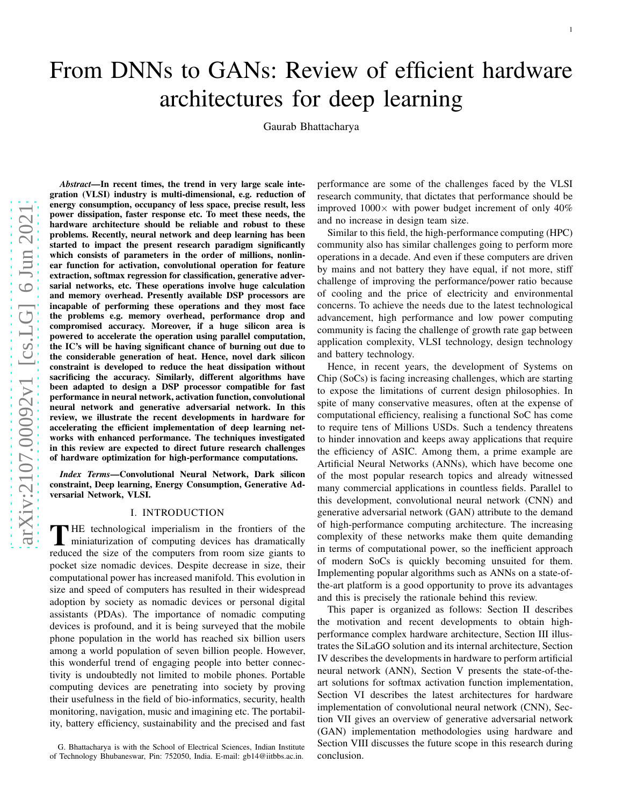# From DNNs to GANs: Review of efficient hardware architectures for deep learning

Gaurab Bhattacharya

*Abstract*—In recent times, the trend in very large scale integration (VLSI) industry is multi-dimensional, e.g. reduction of energy consumption, occupancy of less space, precise result, less power dissipation, faster response etc. To meet these needs, the hardware architecture should be reliable and robust to thes e problems. Recently, neural network and deep learning has been started to impact the present research paradigm significantly which consists of parameters in the order of millions, nonlinear function for activation, convolutional operation for feature extraction, softmax regression for classification, generative adversarial networks, etc. These operations involve huge calculation and memory overhead. Presently available DSP processors ar e incapable of performing these operations and they most face the problems e.g. memory overhead, performance drop and compromised accuracy. Moreover, if a huge silicon area is powered to accelerate the operation using parallel computation, the IC's will be having significant chance of burning out due t o the considerable generation of heat. Hence, novel dark silicon constraint is developed to reduce the heat dissipation without sacrificing the accuracy. Similarly, different algorithms have been adapted to design a DSP processor compatible for fast performance in neural network, activation function, convolutional neural network and generative adversarial network. In this review, we illustrate the recent developments in hardware for accelerating the efficient implementation of deep learning networks with enhanced performance. The techniques investigated in this review are expected to direct future research challenges of hardware optimization for high-performance computations.

*Index Terms*—Convolutional Neural Network, Dark silicon constraint, Deep learning, Energy Consumption, Generative Adversarial Network, VLSI.

#### I. INTRODUCTION

THE technological imperialism in the frontiers of the miniaturization of computing devices has dramatically miniaturization of computing devices has dramatically reduced the size of the computers from room size giants to pocket size nomadic devices. Despite decrease in size, thei r computational power has increased manifold. This evolution in size and speed of computers has resulted in their widespread adoption by society as nomadic devices or personal digital assistants (PDAs). The importance of nomadic computing devices is profound, and it is being surveyed that the mobile phone population in the world has reached six billion users among a world population of seven billion people. However, this wonderful trend of engaging people into better connectivity is undoubtedly not limited to mobile phones. Portable computing devices are penetrating into society by proving their usefulness in the field of bio-informatics, security, health monitoring, navigation, music and imagining etc. The portability, battery efficiency, sustainability and the precised and fast performance are some of the challenges faced by the VLSI research community, that dictates that performance should be improved  $1000 \times$  with power budget increment of only  $40\%$ and no increase in design team size.

Similar to this field, the high-performance computing (HPC) community also has similar challenges going to perform more operations in a decade. And even if these computers are drive n by mains and not battery they have equal, if not more, stiff challenge of improving the performance/power ratio becaus e of cooling and the price of electricity and environmental concerns. To achieve the needs due to the latest technological advancement, high performance and low power computing community is facing the challenge of growth rate gap between application complexity, VLSI technology, design technology and battery technology.

Hence, in recent years, the development of Systems on Chip (SoCs) is facing increasing challenges, which are starting to expose the limitations of current design philosophies. I n spite of many conservative measures, often at the expense of computational efficiency, realising a functional SoC has come to require tens of Millions USDs. Such a tendency threatens to hinder innovation and keeps away applications that require the efficiency of ASIC. Among them, a prime example are Artificial Neural Networks (ANNs), which have become one of the most popular research topics and already witnessed many commercial applications in countless fields. Parallel to this development, convolutional neural network (CNN) and generative adversarial network (GAN) attribute to the demand of high-performance computing architecture. The increasing complexity of these networks make them quite demanding in terms of computational power, so the inefficient approach of modern SoCs is quickly becoming unsuited for them. Implementing popular algorithms such as ANNs on a state-ofthe-art platform is a good opportunity to prove its advantages and this is precisely the rationale behind this review.

This paper is organized as follows: Section II describes the motivation and recent developments to obtain highperformance complex hardware architecture, Section III illustrates the SiLaGO solution and its internal architecture, Section IV describes the developments in hardware to perform artificial neural network (ANN), Section V presents the state-of-theart solutions for softmax activation function implementation, Section VI describes the latest architectures for hardware implementation of convolutional neural network (CNN), Sec tion VII gives an overview of generative adversarial networ k (GAN) implementation methodologies using hardware and Section VIII discusses the future scope in this research during conclusion.

G. Bhattacharya is with the School of Electrical Sciences, Indian Institute of Technology Bhubaneswar, Pin: 752050, India. E-mail: gb14@iitbbs.ac.in.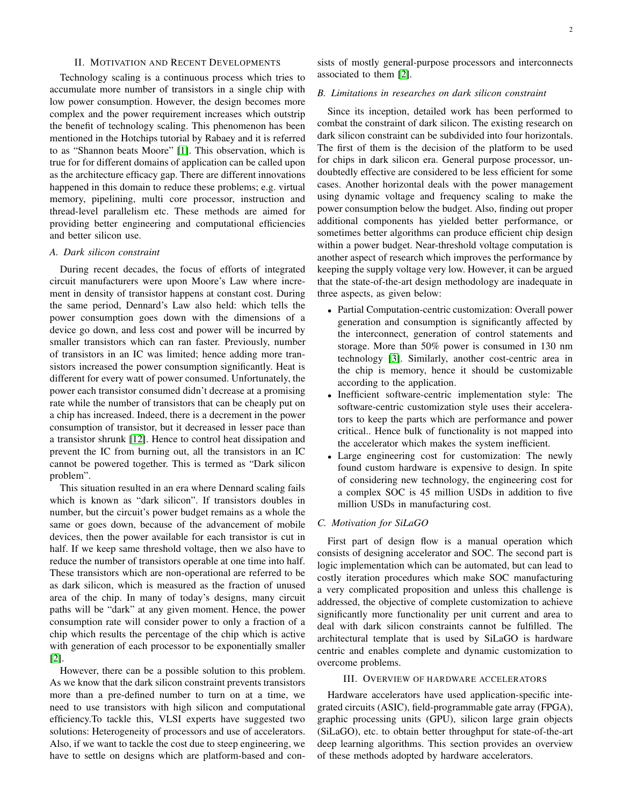#### II. MOTIVATION AND RECENT DEVELOPMENTS

Technology scaling is a continuous process which tries to accumulate more number of transistors in a single chip with low power consumption. However, the design becomes more complex and the power requirement increases which outstrip the benefit of technology scaling. This phenomenon has been mentioned in the Hotchips tutorial by Rabaey and it is referred to as "Shannon beats Moore" [\[1\]](#page-14-0). This observation, which is true for for different domains of application can be called upon as the architecture efficacy gap. There are different innovations happened in this domain to reduce these problems; e.g. virtual memory, pipelining, multi core processor, instruction and thread-level parallelism etc. These methods are aimed for providing better engineering and computational efficiencies and better silicon use.

#### *A. Dark silicon constraint*

During recent decades, the focus of efforts of integrated circuit manufacturers were upon Moore's Law where increment in density of transistor happens at constant cost. During the same period, Dennard's Law also held: which tells the power consumption goes down with the dimensions of a device go down, and less cost and power will be incurred by smaller transistors which can ran faster. Previously, number of transistors in an IC was limited; hence adding more transistors increased the power consumption significantly. Heat is different for every watt of power consumed. Unfortunately, the power each transistor consumed didn't decrease at a promising rate while the number of transistors that can be cheaply put on a chip has increased. Indeed, there is a decrement in the power consumption of transistor, but it decreased in lesser pace than a transistor shrunk [\[12\]](#page-14-1). Hence to control heat dissipation and prevent the IC from burning out, all the transistors in an IC cannot be powered together. This is termed as "Dark silicon problem".

This situation resulted in an era where Dennard scaling fails which is known as "dark silicon". If transistors doubles in number, but the circuit's power budget remains as a whole the same or goes down, because of the advancement of mobile devices, then the power available for each transistor is cut in half. If we keep same threshold voltage, then we also have to reduce the number of transistors operable at one time into half. These transistors which are non-operational are referred to be as dark silicon, which is measured as the fraction of unused area of the chip. In many of today's designs, many circuit paths will be "dark" at any given moment. Hence, the power consumption rate will consider power to only a fraction of a chip which results the percentage of the chip which is active with generation of each processor to be exponentially smaller [\[2\]](#page-14-2).

However, there can be a possible solution to this problem. As we know that the dark silicon constraint prevents transistors more than a pre-defined number to turn on at a time, we need to use transistors with high silicon and computational efficiency.To tackle this, VLSI experts have suggested two solutions: Heterogeneity of processors and use of accelerators. Also, if we want to tackle the cost due to steep engineering, we have to settle on designs which are platform-based and consists of mostly general-purpose processors and interconnects associated to them [\[2\]](#page-14-2).

#### *B. Limitations in researches on dark silicon constraint*

Since its inception, detailed work has been performed to combat the constraint of dark silicon. The existing research on dark silicon constraint can be subdivided into four horizontals. The first of them is the decision of the platform to be used for chips in dark silicon era. General purpose processor, undoubtedly effective are considered to be less efficient for some cases. Another horizontal deals with the power management using dynamic voltage and frequency scaling to make the power consumption below the budget. Also, finding out proper additional components has yielded better performance, or sometimes better algorithms can produce efficient chip design within a power budget. Near-threshold voltage computation is another aspect of research which improves the performance by keeping the supply voltage very low. However, it can be argued that the state-of-the-art design methodology are inadequate in three aspects, as given below:

- Partial Computation-centric customization: Overall power generation and consumption is significantly affected by the interconnect, generation of control statements and storage. More than 50% power is consumed in 130 nm technology [\[3\]](#page-14-3). Similarly, another cost-centric area in the chip is memory, hence it should be customizable according to the application.
- Inefficient software-centric implementation style: The software-centric customization style uses their accelerators to keep the parts which are performance and power critical.. Hence bulk of functionality is not mapped into the accelerator which makes the system inefficient.
- Large engineering cost for customization: The newly found custom hardware is expensive to design. In spite of considering new technology, the engineering cost for a complex SOC is 45 million USDs in addition to five million USDs in manufacturing cost.

#### *C. Motivation for SiLaGO*

First part of design flow is a manual operation which consists of designing accelerator and SOC. The second part is logic implementation which can be automated, but can lead to costly iteration procedures which make SOC manufacturing a very complicated proposition and unless this challenge is addressed, the objective of complete customization to achieve significantly more functionality per unit current and area to deal with dark silicon constraints cannot be fulfilled. The architectural template that is used by SiLaGO is hardware centric and enables complete and dynamic customization to overcome problems.

#### III. OVERVIEW OF HARDWARE ACCELERATORS

Hardware accelerators have used application-specific integrated circuits (ASIC), field-programmable gate array (FPGA), graphic processing units (GPU), silicon large grain objects (SiLaGO), etc. to obtain better throughput for state-of-the-art deep learning algorithms. This section provides an overview of these methods adopted by hardware accelerators.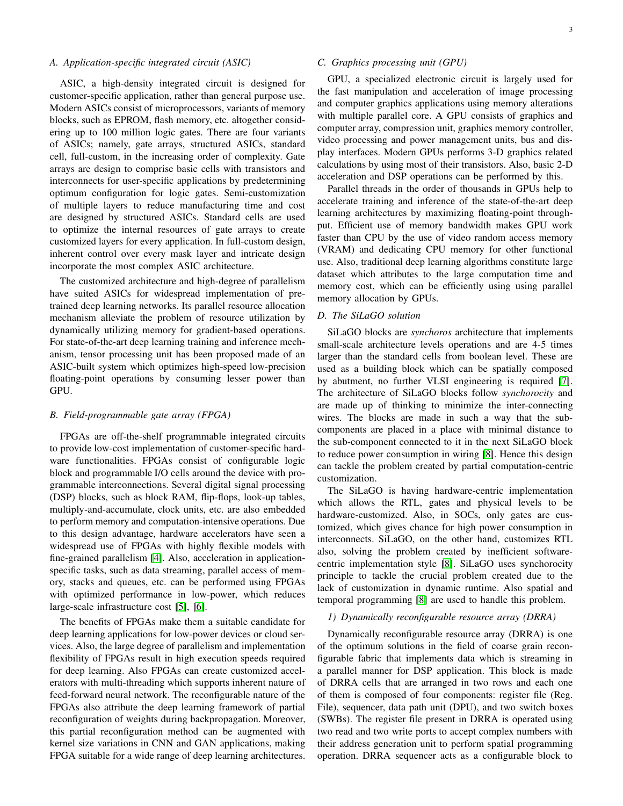## *A. Application-specific integrated circuit (ASIC)*

ASIC, a high-density integrated circuit is designed for customer-specific application, rather than general purpose use. Modern ASICs consist of microprocessors, variants of memory blocks, such as EPROM, flash memory, etc. altogether considering up to 100 million logic gates. There are four variants of ASICs; namely, gate arrays, structured ASICs, standard cell, full-custom, in the increasing order of complexity. Gate arrays are design to comprise basic cells with transistors and interconnects for user-specific applications by predetermining optimum configuration for logic gates. Semi-customization of multiple layers to reduce manufacturing time and cost are designed by structured ASICs. Standard cells are used to optimize the internal resources of gate arrays to create customized layers for every application. In full-custom design, inherent control over every mask layer and intricate design incorporate the most complex ASIC architecture.

The customized architecture and high-degree of parallelism have suited ASICs for widespread implementation of pretrained deep learning networks. Its parallel resource allocation mechanism alleviate the problem of resource utilization by dynamically utilizing memory for gradient-based operations. For state-of-the-art deep learning training and inference mechanism, tensor processing unit has been proposed made of an ASIC-built system which optimizes high-speed low-precision floating-point operations by consuming lesser power than GPU.

## *B. Field-programmable gate array (FPGA)*

FPGAs are off-the-shelf programmable integrated circuits to provide low-cost implementation of customer-specific hardware functionalities. FPGAs consist of configurable logic block and programmable I/O cells around the device with programmable interconnections. Several digital signal processing (DSP) blocks, such as block RAM, flip-flops, look-up tables, multiply-and-accumulate, clock units, etc. are also embedded to perform memory and computation-intensive operations. Due to this design advantage, hardware accelerators have seen a widespread use of FPGAs with highly flexible models with fine-grained parallelism [\[4\]](#page-14-4). Also, acceleration in applicationspecific tasks, such as data streaming, parallel access of memory, stacks and queues, etc. can be performed using FPGAs with optimized performance in low-power, which reduces large-scale infrastructure cost [\[5\]](#page-14-5), [\[6\]](#page-14-6).

The benefits of FPGAs make them a suitable candidate for deep learning applications for low-power devices or cloud services. Also, the large degree of parallelism and implementation flexibility of FPGAs result in high execution speeds required for deep learning. Also FPGAs can create customized accelerators with multi-threading which supports inherent nature of feed-forward neural network. The reconfigurable nature of the FPGAs also attribute the deep learning framework of partial reconfiguration of weights during backpropagation. Moreover, this partial reconfiguration method can be augmented with kernel size variations in CNN and GAN applications, making FPGA suitable for a wide range of deep learning architectures.

## *C. Graphics processing unit (GPU)*

GPU, a specialized electronic circuit is largely used for the fast manipulation and acceleration of image processing and computer graphics applications using memory alterations with multiple parallel core. A GPU consists of graphics and computer array, compression unit, graphics memory controller, video processing and power management units, bus and display interfaces. Modern GPUs performs 3-D graphics related calculations by using most of their transistors. Also, basic 2-D acceleration and DSP operations can be performed by this.

Parallel threads in the order of thousands in GPUs help to accelerate training and inference of the state-of-the-art deep learning architectures by maximizing floating-point throughput. Efficient use of memory bandwidth makes GPU work faster than CPU by the use of video random access memory (VRAM) and dedicating CPU memory for other functional use. Also, traditional deep learning algorithms constitute large dataset which attributes to the large computation time and memory cost, which can be efficiently using using parallel memory allocation by GPUs.

#### *D. The SiLaGO solution*

SiLaGO blocks are *synchoros* architecture that implements small-scale architecture levels operations and are 4-5 times larger than the standard cells from boolean level. These are used as a building block which can be spatially composed by abutment, no further VLSI engineering is required [\[7\]](#page-14-7). The architecture of SiLaGO blocks follow *synchorocity* and are made up of thinking to minimize the inter-connecting wires. The blocks are made in such a way that the subcomponents are placed in a place with minimal distance to the sub-component connected to it in the next SiLaGO block to reduce power consumption in wiring [\[8\]](#page-14-8). Hence this design can tackle the problem created by partial computation-centric customization.

The SiLaGO is having hardware-centric implementation which allows the RTL, gates and physical levels to be hardware-customized. Also, in SOCs, only gates are customized, which gives chance for high power consumption in interconnects. SiLaGO, on the other hand, customizes RTL also, solving the problem created by inefficient softwarecentric implementation style [\[8\]](#page-14-8). SiLaGO uses synchorocity principle to tackle the crucial problem created due to the lack of customization in dynamic runtime. Also spatial and temporal programming [\[8\]](#page-14-8) are used to handle this problem.

#### *1) Dynamically reconfigurable resource array (DRRA)*

Dynamically reconfigurable resource array (DRRA) is one of the optimum solutions in the field of coarse grain reconfigurable fabric that implements data which is streaming in a parallel manner for DSP application. This block is made of DRRA cells that are arranged in two rows and each one of them is composed of four components: register file (Reg. File), sequencer, data path unit (DPU), and two switch boxes (SWBs). The register file present in DRRA is operated using two read and two write ports to accept complex numbers with their address generation unit to perform spatial programming operation. DRRA sequencer acts as a configurable block to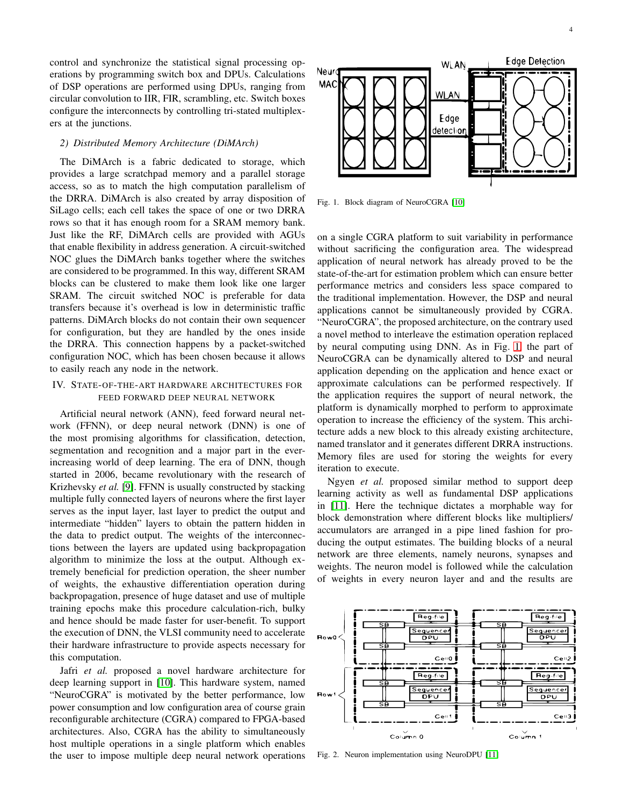control and synchronize the statistical signal processing operations by programming switch box and DPUs. Calculations of DSP operations are performed using DPUs, ranging from circular convolution to IIR, FIR, scrambling, etc. Switch boxes configure the interconnects by controlling tri-stated multiplexers at the junctions.

#### *2) Distributed Memory Architecture (DiMArch)*

The DiMArch is a fabric dedicated to storage, which provides a large scratchpad memory and a parallel storage access, so as to match the high computation parallelism of the DRRA. DiMArch is also created by array disposition of SiLago cells; each cell takes the space of one or two DRRA rows so that it has enough room for a SRAM memory bank. Just like the RF, DiMArch cells are provided with AGUs that enable flexibility in address generation. A circuit-switched NOC glues the DiMArch banks together where the switches are considered to be programmed. In this way, different SRAM blocks can be clustered to make them look like one larger SRAM. The circuit switched NOC is preferable for data transfers because it's overhead is low in deterministic traffic patterns. DiMArch blocks do not contain their own sequencer for configuration, but they are handled by the ones inside the DRRA. This connection happens by a packet-switched configuration NOC, which has been chosen because it allows to easily reach any node in the network.

# IV. STATE-OF-THE-ART HARDWARE ARCHITECTURES FOR FEED FORWARD DEEP NEURAL NETWORK

Artificial neural network (ANN), feed forward neural network (FFNN), or deep neural network (DNN) is one of the most promising algorithms for classification, detection, segmentation and recognition and a major part in the everincreasing world of deep learning. The era of DNN, though started in 2006, became revolutionary with the research of Krizhevsky *et al.* [\[9\]](#page-14-9). FFNN is usually constructed by stacking multiple fully connected layers of neurons where the first layer serves as the input layer, last layer to predict the output and intermediate "hidden" layers to obtain the pattern hidden in the data to predict output. The weights of the interconnections between the layers are updated using backpropagation algorithm to minimize the loss at the output. Although extremely beneficial for prediction operation, the sheer number of weights, the exhaustive differentiation operation during backpropagation, presence of huge dataset and use of multiple training epochs make this procedure calculation-rich, bulky and hence should be made faster for user-benefit. To support the execution of DNN, the VLSI community need to accelerate their hardware infrastructure to provide aspects necessary for this computation.

Jafri *et al.* proposed a novel hardware architecture for deep learning support in [\[10\]](#page-14-10). This hardware system, named "NeuroCGRA" is motivated by the better performance, low power consumption and low configuration area of course grain reconfigurable architecture (CGRA) compared to FPGA-based architectures. Also, CGRA has the ability to simultaneously host multiple operations in a single platform which enables the user to impose multiple deep neural network operations



<span id="page-3-0"></span>Fig. 1. Block diagram of NeuroCGRA [\[10\]](#page-14-10)

on a single CGRA platform to suit variability in performance without sacrificing the configuration area. The widespread application of neural network has already proved to be the state-of-the-art for estimation problem which can ensure better performance metrics and considers less space compared to the traditional implementation. However, the DSP and neural applications cannot be simultaneously provided by CGRA. "NeuroCGRA", the proposed architecture, on the contrary used a novel method to interleave the estimation operation replaced by neural computing using DNN. As in Fig. [1,](#page-3-0) the part of NeuroCGRA can be dynamically altered to DSP and neural application depending on the application and hence exact or approximate calculations can be performed respectively. If the application requires the support of neural network, the platform is dynamically morphed to perform to approximate operation to increase the efficiency of the system. This architecture adds a new block to this already existing architecture, named translator and it generates different DRRA instructions. Memory files are used for storing the weights for every iteration to execute.

Ngyen *et al.* proposed similar method to support deep learning activity as well as fundamental DSP applications in [\[11\]](#page-14-11). Here the technique dictates a morphable way for block demonstration where different blocks like multipliers/ accumulators are arranged in a pipe lined fashion for producing the output estimates. The building blocks of a neural network are three elements, namely neurons, synapses and weights. The neuron model is followed while the calculation of weights in every neuron layer and and the results are



Fig. 2. Neuron implementation using NeuroDPU [\[11\]](#page-14-11)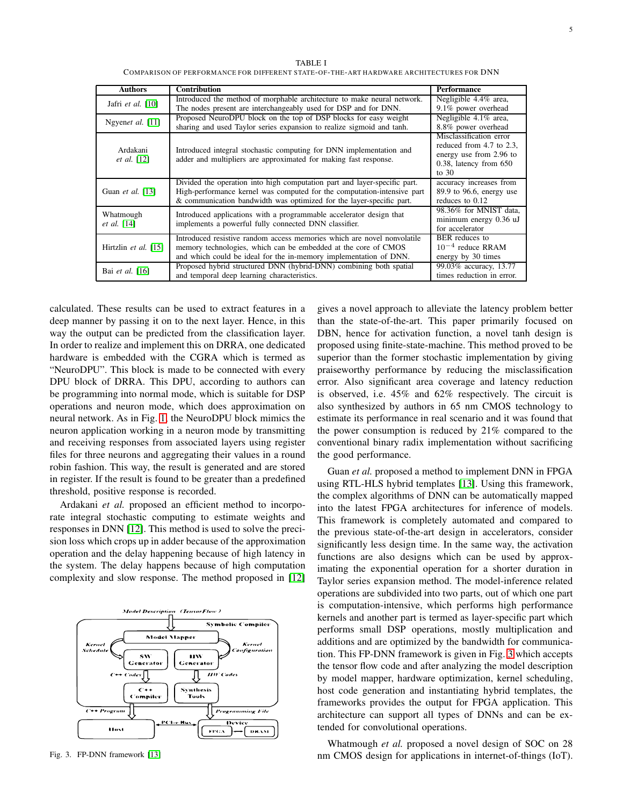TABLE I COMPARISON OF PERFORMANCE FOR DIFFERENT STATE-OF-THE-ART HARDWARE ARCHITECTURES FOR DNN

| <b>Authors</b>                   | <b>Contribution</b>                                                                                                                     | <b>Performance</b>          |
|----------------------------------|-----------------------------------------------------------------------------------------------------------------------------------------|-----------------------------|
| Jafri et al. $[10]$              | Introduced the method of morphable architecture to make neural network.                                                                 | Negligible 4.4% area.       |
|                                  | The nodes present are interchangeably used for DSP and for DNN.                                                                         | 9.1% power overhead         |
| Ngyenet al. [11]                 | Proposed NeuroDPU block on the top of DSP blocks for easy weight                                                                        | Negligible 4.1% area,       |
|                                  | sharing and used Taylor series expansion to realize sigmoid and tanh.                                                                   | 8.8% power overhead         |
| Ardakani<br><i>et al.</i> $[12]$ | Introduced integral stochastic computing for DNN implementation and<br>adder and multipliers are approximated for making fast response. | Misclassification error     |
|                                  |                                                                                                                                         | reduced from 4.7 to 2.3.    |
|                                  |                                                                                                                                         | energy use from 2.96 to     |
|                                  |                                                                                                                                         | $0.38$ , latency from $650$ |
|                                  |                                                                                                                                         | to $30$                     |
| Guan et al. $[13]$               | Divided the operation into high computation part and layer-specific part.                                                               | accuracy increases from     |
|                                  | High-performance kernel was computed for the computation-intensive part                                                                 | $89.9$ to 96.6, energy use  |
|                                  | & communication bandwidth was optimized for the layer-specific part.                                                                    | reduces to 0.12             |
|                                  | Introduced applications with a programmable accelerator design that<br>implements a powerful fully connected DNN classifier.            | 98.36% for MNIST data.      |
| Whatmough<br><i>et al.</i> [14]  |                                                                                                                                         | minimum energy 0.36 uJ      |
|                                  |                                                                                                                                         | for accelerator             |
| Hirtzlin et al. [15]             | Introduced resistive random access memories which are novel nonvolatile                                                                 | BER reduces to              |
|                                  | memory technologies, which can be embedded at the core of CMOS                                                                          | $10^{-4}$ reduce RRAM       |
|                                  | and which could be ideal for the in-memory implementation of DNN.                                                                       | energy by 30 times          |
| Bai et al. [16]                  | Proposed hybrid structured DNN (hybrid-DNN) combining both spatial                                                                      | 99.03% accuracy, 13.77      |
|                                  | and temporal deep learning characteristics.                                                                                             | times reduction in error.   |

calculated. These results can be used to extract features in a deep manner by passing it on to the next layer. Hence, in this way the output can be predicted from the classification layer. In order to realize and implement this on DRRA, one dedicated hardware is embedded with the CGRA which is termed as "NeuroDPU". This block is made to be connected with every DPU block of DRRA. This DPU, according to authors can be programming into normal mode, which is suitable for DSP operations and neuron mode, which does approximation on neural network. As in Fig. [1,](#page-3-0) the NeuroDPU block mimics the neuron application working in a neuron mode by transmitting and receiving responses from associated layers using register files for three neurons and aggregating their values in a round robin fashion. This way, the result is generated and are stored in register. If the result is found to be greater than a predefined threshold, positive response is recorded.

Ardakani *et al.* proposed an efficient method to incorporate integral stochastic computing to estimate weights and responses in DNN [\[12\]](#page-14-1). This method is used to solve the precision loss which crops up in adder because of the approximation operation and the delay happening because of high latency in the system. The delay happens because of high computation complexity and slow response. The method proposed in [\[12\]](#page-14-1)



<span id="page-4-0"></span>Fig. 3. FP-DNN framework [\[13\]](#page-14-12)

gives a novel approach to alleviate the latency problem better than the state-of-the-art. This paper primarily focused on DBN, hence for activation function, a novel tanh design is proposed using finite-state-machine. This method proved to be superior than the former stochastic implementation by giving praiseworthy performance by reducing the misclassification error. Also significant area coverage and latency reduction is observed, i.e. 45% and 62% respectively. The circuit is also synthesized by authors in 65 nm CMOS technology to estimate its performance in real scenario and it was found that the power consumption is reduced by 21% compared to the conventional binary radix implementation without sacrificing the good performance.

Guan *et al.* proposed a method to implement DNN in FPGA using RTL-HLS hybrid templates [\[13\]](#page-14-12). Using this framework, the complex algorithms of DNN can be automatically mapped into the latest FPGA architectures for inference of models. This framework is completely automated and compared to the previous state-of-the-art design in accelerators, consider significantly less design time. In the same way, the activation functions are also designs which can be used by approximating the exponential operation for a shorter duration in Taylor series expansion method. The model-inference related operations are subdivided into two parts, out of which one part is computation-intensive, which performs high performance kernels and another part is termed as layer-specific part which performs small DSP operations, mostly multiplication and additions and are optimized by the bandwidth for communication. This FP-DNN framework is given in Fig. [3](#page-4-0) which accepts the tensor flow code and after analyzing the model description by model mapper, hardware optimization, kernel scheduling, host code generation and instantiating hybrid templates, the frameworks provides the output for FPGA application. This architecture can support all types of DNNs and can be extended for convolutional operations.

Whatmough *et al.* proposed a novel design of SOC on 28 nm CMOS design for applications in internet-of-things (IoT).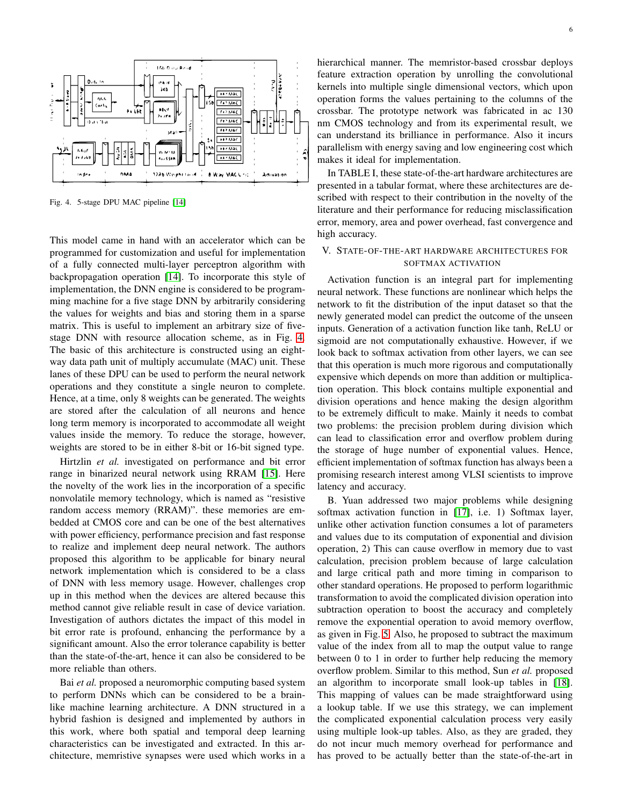

<span id="page-5-0"></span>Fig. 4. 5-stage DPU MAC pipeline [\[14\]](#page-14-13)

This model came in hand with an accelerator which can be programmed for customization and useful for implementation of a fully connected multi-layer perceptron algorithm with backpropagation operation [\[14\]](#page-14-13). To incorporate this style of implementation, the DNN engine is considered to be programming machine for a five stage DNN by arbitrarily considering the values for weights and bias and storing them in a sparse matrix. This is useful to implement an arbitrary size of fivestage DNN with resource allocation scheme, as in Fig. [4.](#page-5-0) The basic of this architecture is constructed using an eightway data path unit of multiply accumulate (MAC) unit. These lanes of these DPU can be used to perform the neural network operations and they constitute a single neuron to complete. Hence, at a time, only 8 weights can be generated. The weights are stored after the calculation of all neurons and hence long term memory is incorporated to accommodate all weight values inside the memory. To reduce the storage, however, weights are stored to be in either 8-bit or 16-bit signed type.

Hirtzlin *et al.* investigated on performance and bit error range in binarized neural network using RRAM [\[15\]](#page-14-14). Here the novelty of the work lies in the incorporation of a specific nonvolatile memory technology, which is named as "resistive random access memory (RRAM)". these memories are embedded at CMOS core and can be one of the best alternatives with power efficiency, performance precision and fast response to realize and implement deep neural network. The authors proposed this algorithm to be applicable for binary neural network implementation which is considered to be a class of DNN with less memory usage. However, challenges crop up in this method when the devices are altered because this method cannot give reliable result in case of device variation. Investigation of authors dictates the impact of this model in bit error rate is profound, enhancing the performance by a significant amount. Also the error tolerance capability is better than the state-of-the-art, hence it can also be considered to be more reliable than others.

Bai *et al.* proposed a neuromorphic computing based system to perform DNNs which can be considered to be a brainlike machine learning architecture. A DNN structured in a hybrid fashion is designed and implemented by authors in this work, where both spatial and temporal deep learning characteristics can be investigated and extracted. In this architecture, memristive synapses were used which works in a hierarchical manner. The memristor-based crossbar deploys feature extraction operation by unrolling the convolutional kernels into multiple single dimensional vectors, which upon operation forms the values pertaining to the columns of the crossbar. The prototype network was fabricated in ac 130 nm CMOS technology and from its experimental result, we can understand its brilliance in performance. Also it incurs parallelism with energy saving and low engineering cost which makes it ideal for implementation.

In TABLE I, these state-of-the-art hardware architectures are presented in a tabular format, where these architectures are described with respect to their contribution in the novelty of the literature and their performance for reducing misclassification error, memory, area and power overhead, fast convergence and high accuracy.

# V. STATE-OF-THE-ART HARDWARE ARCHITECTURES FOR SOFTMAX ACTIVATION

Activation function is an integral part for implementing neural network. These functions are nonlinear which helps the network to fit the distribution of the input dataset so that the newly generated model can predict the outcome of the unseen inputs. Generation of a activation function like tanh, ReLU or sigmoid are not computationally exhaustive. However, if we look back to softmax activation from other layers, we can see that this operation is much more rigorous and computationally expensive which depends on more than addition or multiplication operation. This block contains multiple exponential and division operations and hence making the design algorithm to be extremely difficult to make. Mainly it needs to combat two problems: the precision problem during division which can lead to classification error and overflow problem during the storage of huge number of exponential values. Hence, efficient implementation of softmax function has always been a promising research interest among VLSI scientists to improve latency and accuracy.

B. Yuan addressed two major problems while designing softmax activation function in [\[17\]](#page-14-16), i.e. 1) Softmax layer, unlike other activation function consumes a lot of parameters and values due to its computation of exponential and division operation, 2) This can cause overflow in memory due to vast calculation, precision problem because of large calculation and large critical path and more timing in comparison to other standard operations. He proposed to perform logarithmic transformation to avoid the complicated division operation into subtraction operation to boost the accuracy and completely remove the exponential operation to avoid memory overflow, as given in Fig. [5.](#page-6-0) Also, he proposed to subtract the maximum value of the index from all to map the output value to range between 0 to 1 in order to further help reducing the memory overflow problem. Similar to this method, Sun *et al.* proposed an algorithm to incorporate small look-up tables in [\[18\]](#page-14-17). This mapping of values can be made straightforward using a lookup table. If we use this strategy, we can implement the complicated exponential calculation process very easily using multiple look-up tables. Also, as they are graded, they do not incur much memory overhead for performance and has proved to be actually better than the state-of-the-art in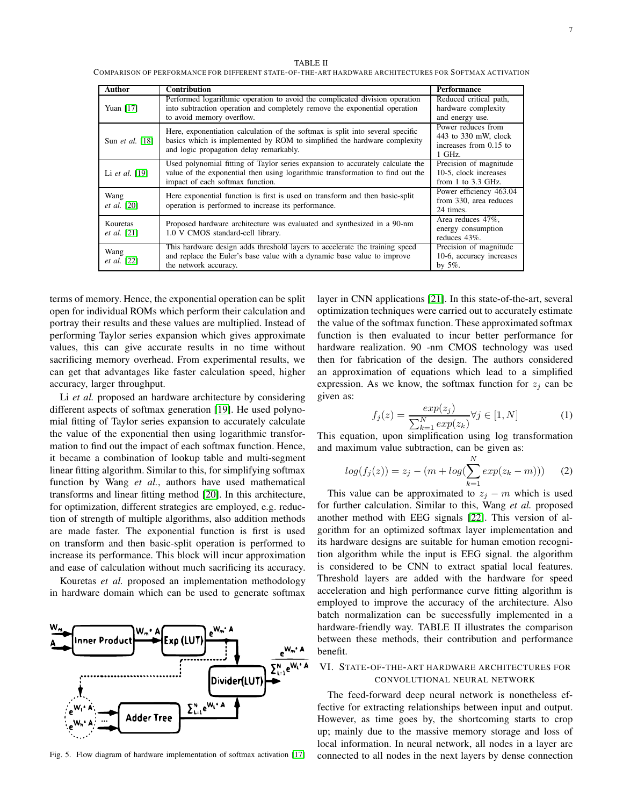TABLE II

COMPARISON OF PERFORMANCE FOR DIFFERENT STATE-OF-THE-ART HARDWARE ARCHITECTURES FOR SOFTMAX ACTIVATION

| Author                           | <b>Contribution</b>                                                                                                                                                                                   | Performance                                                                    |
|----------------------------------|-------------------------------------------------------------------------------------------------------------------------------------------------------------------------------------------------------|--------------------------------------------------------------------------------|
| Yuan $[17]$                      | Performed logarithmic operation to avoid the complicated division operation<br>into subtraction operation and completely remove the exponential operation<br>to avoid memory overflow.                | Reduced critical path,<br>hardware complexity<br>and energy use.               |
| Sun <i>et al.</i> [18]           | Here, exponentiation calculation of the softmax is split into several specific<br>basics which is implemented by ROM to simplified the hardware complexity<br>and logic propagation delay remarkably. | Power reduces from<br>443 to 330 mW, clock<br>increases from 0.15 to<br>1 GHz. |
| Li et al. $[19]$                 | Used polynomial fitting of Taylor series expansion to accurately calculate the<br>value of the exponential then using logarithmic transformation to find out the<br>impact of each softmax function.  | Precision of magnitude<br>10-5, clock increases<br>from $1$ to $3.3$ GHz.      |
| Wang<br><i>et al.</i> [20]       | Here exponential function is first is used on transform and then basic-split<br>operation is performed to increase its performance.                                                                   | Power efficiency 463.04<br>from 330, area reduces<br>24 times.                 |
| Kouretas<br><i>et al.</i> $[21]$ | Proposed hardware architecture was evaluated and synthesized in a 90-nm<br>1.0 V CMOS standard-cell library.                                                                                          | Area reduces 47%,<br>energy consumption<br>reduces 43\%.                       |
| Wang<br><i>et al.</i> [22]       | This hardware design adds threshold layers to accelerate the training speed<br>and replace the Euler's base value with a dynamic base value to improve<br>the network accuracy.                       | Precision of magnitude<br>10-6, accuracy increases<br>by $5\%$ .               |

terms of memory. Hence, the exponential operation can be split open for individual ROMs which perform their calculation and portray their results and these values are multiplied. Instead of performing Taylor series expansion which gives approximate values, this can give accurate results in no time without sacrificing memory overhead. From experimental results, we can get that advantages like faster calculation speed, higher accuracy, larger throughput.

Li *et al.* proposed an hardware architecture by considering different aspects of softmax generation [\[19\]](#page-14-18). He used polynomial fitting of Taylor series expansion to accurately calculate the value of the exponential then using logarithmic transformation to find out the impact of each softmax function. Hence, it became a combination of lookup table and multi-segment linear fitting algorithm. Similar to this, for simplifying softmax function by Wang *et al.*, authors have used mathematical transforms and linear fitting method [\[20\]](#page-14-19). In this architecture, for optimization, different strategies are employed, e.g. reduction of strength of multiple algorithms, also addition methods are made faster. The exponential function is first is used on transform and then basic-split operation is performed to increase its performance. This block will incur approximation and ease of calculation without much sacrificing its accuracy.

Kouretas *et al.* proposed an implementation methodology in hardware domain which can be used to generate softmax



<span id="page-6-0"></span>Fig. 5. Flow diagram of hardware implementation of softmax activation [\[17\]](#page-14-16)

layer in CNN applications [\[21\]](#page-14-20). In this state-of-the-art, several optimization techniques were carried out to accurately estimate the value of the softmax function. These approximated softmax function is then evaluated to incur better performance for hardware realization. 90 -nm CMOS technology was used then for fabrication of the design. The authors considered an approximation of equations which lead to a simplified expression. As we know, the softmax function for  $z_i$  can be given as:

$$
f_j(z) = \frac{exp(z_j)}{\sum_{k=1}^N exp(z_k)} \forall j \in [1, N] \tag{1}
$$

This equation, upon simplification using log transformation and maximum value subtraction, can be given as:

$$
log(f_j(z)) = z_j - (m + log(\sum_{k=1}^{N} exp(z_k - m)))
$$
 (2)

This value can be approximated to  $z_i - m$  which is used for further calculation. Similar to this, Wang *et al.* proposed another method with EEG signals [\[22\]](#page-14-21). This version of algorithm for an optimized softmax layer implementation and its hardware designs are suitable for human emotion recognition algorithm while the input is EEG signal. the algorithm is considered to be CNN to extract spatial local features. Threshold layers are added with the hardware for speed acceleration and high performance curve fitting algorithm is employed to improve the accuracy of the architecture. Also batch normalization can be successfully implemented in a hardware-friendly way. TABLE II illustrates the comparison between these methods, their contribution and performance benefit.

## VI. STATE-OF-THE-ART HARDWARE ARCHITECTURES FOR CONVOLUTIONAL NEURAL NETWORK

The feed-forward deep neural network is nonetheless effective for extracting relationships between input and output. However, as time goes by, the shortcoming starts to crop up; mainly due to the massive memory storage and loss of local information. In neural network, all nodes in a layer are connected to all nodes in the next layers by dense connection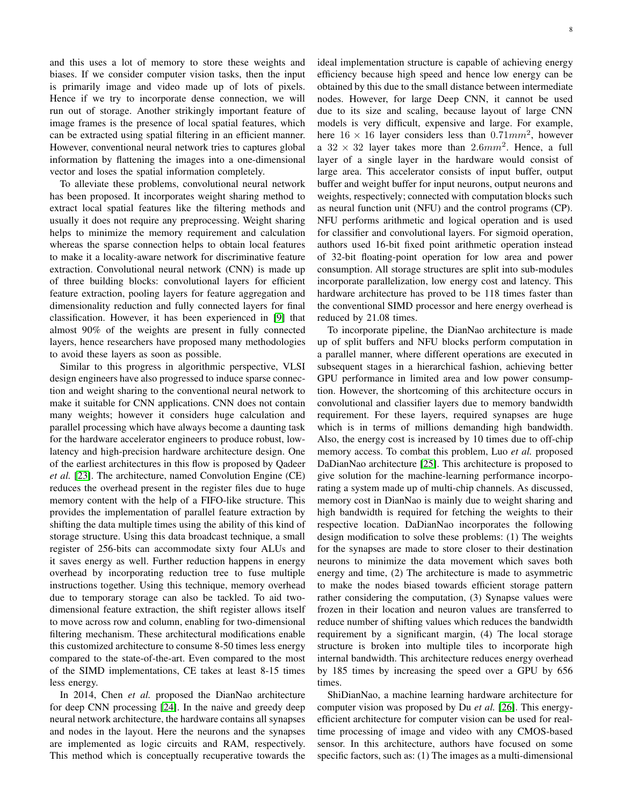and this uses a lot of memory to store these weights and biases. If we consider computer vision tasks, then the input is primarily image and video made up of lots of pixels. Hence if we try to incorporate dense connection, we will run out of storage. Another strikingly important feature of image frames is the presence of local spatial features, which can be extracted using spatial filtering in an efficient manner. However, conventional neural network tries to captures global information by flattening the images into a one-dimensional vector and loses the spatial information completely.

To alleviate these problems, convolutional neural network has been proposed. It incorporates weight sharing method to extract local spatial features like the filtering methods and usually it does not require any preprocessing. Weight sharing helps to minimize the memory requirement and calculation whereas the sparse connection helps to obtain local features to make it a locality-aware network for discriminative feature extraction. Convolutional neural network (CNN) is made up of three building blocks: convolutional layers for efficient feature extraction, pooling layers for feature aggregation and dimensionality reduction and fully connected layers for final classification. However, it has been experienced in [\[9\]](#page-14-9) that almost 90% of the weights are present in fully connected layers, hence researchers have proposed many methodologies to avoid these layers as soon as possible.

Similar to this progress in algorithmic perspective, VLSI design engineers have also progressed to induce sparse connection and weight sharing to the conventional neural network to make it suitable for CNN applications. CNN does not contain many weights; however it considers huge calculation and parallel processing which have always become a daunting task for the hardware accelerator engineers to produce robust, lowlatency and high-precision hardware architecture design. One of the earliest architectures in this flow is proposed by Qadeer *et al.* [\[23\]](#page-14-22). The architecture, named Convolution Engine (CE) reduces the overhead present in the register files due to huge memory content with the help of a FIFO-like structure. This provides the implementation of parallel feature extraction by shifting the data multiple times using the ability of this kind of storage structure. Using this data broadcast technique, a small register of 256-bits can accommodate sixty four ALUs and it saves energy as well. Further reduction happens in energy overhead by incorporating reduction tree to fuse multiple instructions together. Using this technique, memory overhead due to temporary storage can also be tackled. To aid twodimensional feature extraction, the shift register allows itself to move across row and column, enabling for two-dimensional filtering mechanism. These architectural modifications enable this customized architecture to consume 8-50 times less energy compared to the state-of-the-art. Even compared to the most of the SIMD implementations, CE takes at least 8-15 times less energy.

In 2014, Chen *et al.* proposed the DianNao architecture for deep CNN processing [\[24\]](#page-14-23). In the naive and greedy deep neural network architecture, the hardware contains all synapses and nodes in the layout. Here the neurons and the synapses are implemented as logic circuits and RAM, respectively. This method which is conceptually recuperative towards the

ideal implementation structure is capable of achieving energy efficiency because high speed and hence low energy can be obtained by this due to the small distance between intermediate nodes. However, for large Deep CNN, it cannot be used due to its size and scaling, because layout of large CNN models is very difficult, expensive and large. For example, here  $16 \times 16$  layer considers less than 0.71 $mm^2$ , however a  $32 \times 32$  layer takes more than  $2.6mm^2$ . Hence, a full layer of a single layer in the hardware would consist of large area. This accelerator consists of input buffer, output buffer and weight buffer for input neurons, output neurons and weights, respectively; connected with computation blocks such as neural function unit (NFU) and the control programs (CP). NFU performs arithmetic and logical operation and is used for classifier and convolutional layers. For sigmoid operation, authors used 16-bit fixed point arithmetic operation instead of 32-bit floating-point operation for low area and power consumption. All storage structures are split into sub-modules incorporate parallelization, low energy cost and latency. This hardware architecture has proved to be 118 times faster than the conventional SIMD processor and here energy overhead is reduced by 21.08 times.

To incorporate pipeline, the DianNao architecture is made up of split buffers and NFU blocks perform computation in a parallel manner, where different operations are executed in subsequent stages in a hierarchical fashion, achieving better GPU performance in limited area and low power consumption. However, the shortcoming of this architecture occurs in convolutional and classifier layers due to memory bandwidth requirement. For these layers, required synapses are huge which is in terms of millions demanding high bandwidth. Also, the energy cost is increased by 10 times due to off-chip memory access. To combat this problem, Luo *et al.* proposed DaDianNao architecture [\[25\]](#page-14-24). This architecture is proposed to give solution for the machine-learning performance incorporating a system made up of multi-chip channels. As discussed, memory cost in DianNao is mainly due to weight sharing and high bandwidth is required for fetching the weights to their respective location. DaDianNao incorporates the following design modification to solve these problems: (1) The weights for the synapses are made to store closer to their destination neurons to minimize the data movement which saves both energy and time, (2) The architecture is made to asymmetric to make the nodes biased towards efficient storage pattern rather considering the computation, (3) Synapse values were frozen in their location and neuron values are transferred to reduce number of shifting values which reduces the bandwidth requirement by a significant margin, (4) The local storage structure is broken into multiple tiles to incorporate high internal bandwidth. This architecture reduces energy overhead by 185 times by increasing the speed over a GPU by 656 times.

ShiDianNao, a machine learning hardware architecture for computer vision was proposed by Du *et al.* [\[26\]](#page-14-25). This energyefficient architecture for computer vision can be used for realtime processing of image and video with any CMOS-based sensor. In this architecture, authors have focused on some specific factors, such as: (1) The images as a multi-dimensional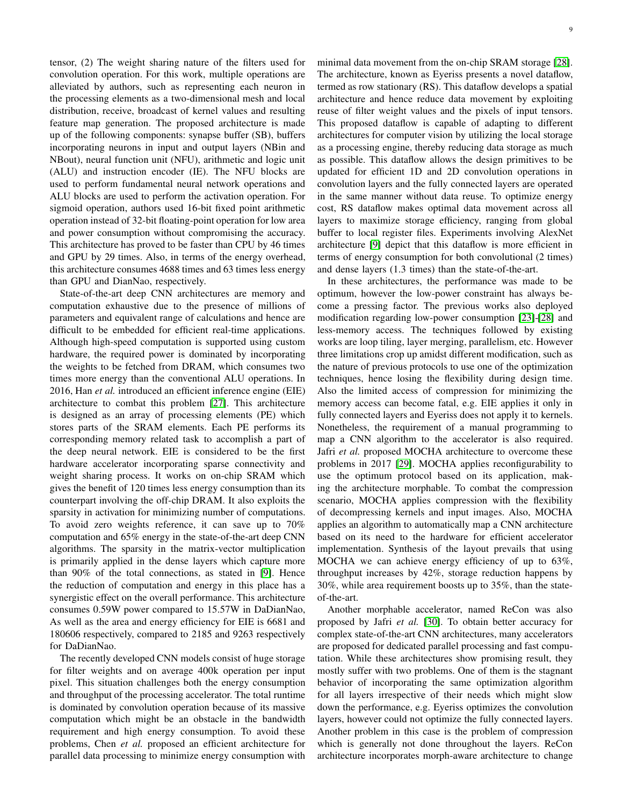tensor, (2) The weight sharing nature of the filters used for convolution operation. For this work, multiple operations are alleviated by authors, such as representing each neuron in the processing elements as a two-dimensional mesh and local distribution, receive, broadcast of kernel values and resulting feature map generation. The proposed architecture is made up of the following components: synapse buffer (SB), buffers incorporating neurons in input and output layers (NBin and NBout), neural function unit (NFU), arithmetic and logic unit (ALU) and instruction encoder (IE). The NFU blocks are used to perform fundamental neural network operations and ALU blocks are used to perform the activation operation. For sigmoid operation, authors used 16-bit fixed point arithmetic operation instead of 32-bit floating-point operation for low area and power consumption without compromising the accuracy. This architecture has proved to be faster than CPU by 46 times and GPU by 29 times. Also, in terms of the energy overhead, this architecture consumes 4688 times and 63 times less energy than GPU and DianNao, respectively.

State-of-the-art deep CNN architectures are memory and computation exhaustive due to the presence of millions of parameters and equivalent range of calculations and hence are difficult to be embedded for efficient real-time applications. Although high-speed computation is supported using custom hardware, the required power is dominated by incorporating the weights to be fetched from DRAM, which consumes two times more energy than the conventional ALU operations. In 2016, Han *et al.* introduced an efficient inference engine (EIE) architecture to combat this problem [\[27\]](#page-14-26). This architecture is designed as an array of processing elements (PE) which stores parts of the SRAM elements. Each PE performs its corresponding memory related task to accomplish a part of the deep neural network. EIE is considered to be the first hardware accelerator incorporating sparse connectivity and weight sharing process. It works on on-chip SRAM which gives the benefit of 120 times less energy consumption than its counterpart involving the off-chip DRAM. It also exploits the sparsity in activation for minimizing number of computations. To avoid zero weights reference, it can save up to 70% computation and 65% energy in the state-of-the-art deep CNN algorithms. The sparsity in the matrix-vector multiplication is primarily applied in the dense layers which capture more than 90% of the total connections, as stated in [\[9\]](#page-14-9). Hence the reduction of computation and energy in this place has a synergistic effect on the overall performance. This architecture consumes 0.59W power compared to 15.57W in DaDianNao, As well as the area and energy efficiency for EIE is 6681 and 180606 respectively, compared to 2185 and 9263 respectively for DaDianNao.

The recently developed CNN models consist of huge storage for filter weights and on average 400k operation per input pixel. This situation challenges both the energy consumption and throughput of the processing accelerator. The total runtime is dominated by convolution operation because of its massive computation which might be an obstacle in the bandwidth requirement and high energy consumption. To avoid these problems, Chen *et al.* proposed an efficient architecture for parallel data processing to minimize energy consumption with

minimal data movement from the on-chip SRAM storage [\[28\]](#page-14-27). The architecture, known as Eyeriss presents a novel dataflow, termed as row stationary (RS). This dataflow develops a spatial architecture and hence reduce data movement by exploiting reuse of filter weight values and the pixels of input tensors. This proposed dataflow is capable of adapting to different architectures for computer vision by utilizing the local storage as a processing engine, thereby reducing data storage as much as possible. This dataflow allows the design primitives to be updated for efficient 1D and 2D convolution operations in convolution layers and the fully connected layers are operated in the same manner without data reuse. To optimize energy cost, RS dataflow makes optimal data movement across all layers to maximize storage efficiency, ranging from global buffer to local register files. Experiments involving AlexNet architecture [\[9\]](#page-14-9) depict that this dataflow is more efficient in terms of energy consumption for both convolutional (2 times) and dense layers (1.3 times) than the state-of-the-art.

In these architectures, the performance was made to be optimum, however the low-power constraint has always become a pressing factor. The previous works also deployed modification regarding low-power consumption [\[23\]](#page-14-22)-[\[28\]](#page-14-27) and less-memory access. The techniques followed by existing works are loop tiling, layer merging, parallelism, etc. However three limitations crop up amidst different modification, such as the nature of previous protocols to use one of the optimization techniques, hence losing the flexibility during design time. Also the limited access of compression for minimizing the memory access can become fatal, e.g. EIE applies it only in fully connected layers and Eyeriss does not apply it to kernels. Nonetheless, the requirement of a manual programming to map a CNN algorithm to the accelerator is also required. Jafri *et al.* proposed MOCHA architecture to overcome these problems in 2017 [\[29\]](#page-14-28). MOCHA applies reconfigurability to use the optimum protocol based on its application, making the architecture morphable. To combat the compression scenario, MOCHA applies compression with the flexibility of decompressing kernels and input images. Also, MOCHA applies an algorithm to automatically map a CNN architecture based on its need to the hardware for efficient accelerator implementation. Synthesis of the layout prevails that using MOCHA we can achieve energy efficiency of up to 63%, throughput increases by 42%, storage reduction happens by 30%, while area requirement boosts up to 35%, than the stateof-the-art.

Another morphable accelerator, named ReCon was also proposed by Jafri *et al.* [\[30\]](#page-14-29). To obtain better accuracy for complex state-of-the-art CNN architectures, many accelerators are proposed for dedicated parallel processing and fast computation. While these architectures show promising result, they mostly suffer with two problems. One of them is the stagnant behavior of incorporating the same optimization algorithm for all layers irrespective of their needs which might slow down the performance, e.g. Eyeriss optimizes the convolution layers, however could not optimize the fully connected layers. Another problem in this case is the problem of compression which is generally not done throughout the layers. ReCon architecture incorporates morph-aware architecture to change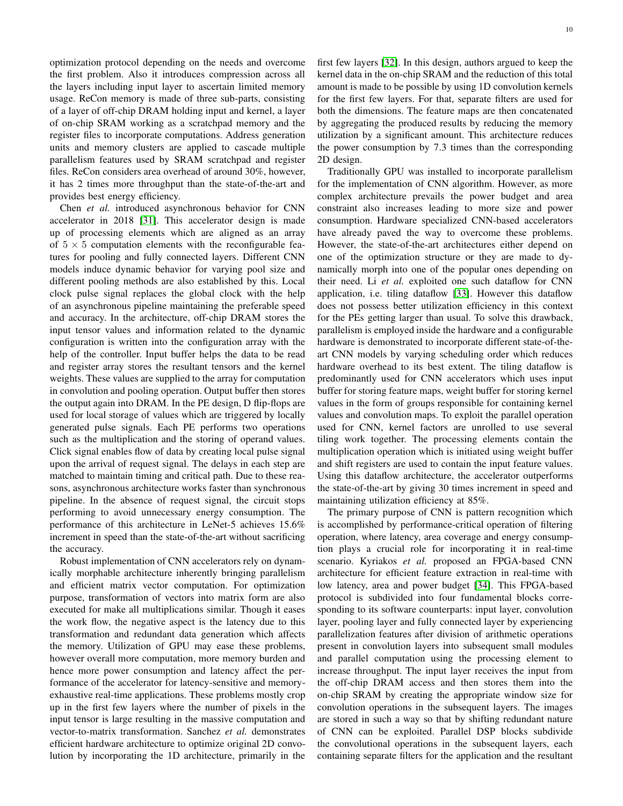optimization protocol depending on the needs and overcome the first problem. Also it introduces compression across all the layers including input layer to ascertain limited memory usage. ReCon memory is made of three sub-parts, consisting of a layer of off-chip DRAM holding input and kernel, a layer of on-chip SRAM working as a scratchpad memory and the register files to incorporate computations. Address generation units and memory clusters are applied to cascade multiple parallelism features used by SRAM scratchpad and register files. ReCon considers area overhead of around 30%, however, it has 2 times more throughput than the state-of-the-art and provides best energy efficiency.

Chen *et al.* introduced asynchronous behavior for CNN accelerator in 2018 [\[31\]](#page-14-30). This accelerator design is made up of processing elements which are aligned as an array of  $5 \times 5$  computation elements with the reconfigurable features for pooling and fully connected layers. Different CNN models induce dynamic behavior for varying pool size and different pooling methods are also established by this. Local clock pulse signal replaces the global clock with the help of an asynchronous pipeline maintaining the preferable speed and accuracy. In the architecture, off-chip DRAM stores the input tensor values and information related to the dynamic configuration is written into the configuration array with the help of the controller. Input buffer helps the data to be read and register array stores the resultant tensors and the kernel weights. These values are supplied to the array for computation in convolution and pooling operation. Output buffer then stores the output again into DRAM. In the PE design, D flip-flops are used for local storage of values which are triggered by locally generated pulse signals. Each PE performs two operations such as the multiplication and the storing of operand values. Click signal enables flow of data by creating local pulse signal upon the arrival of request signal. The delays in each step are matched to maintain timing and critical path. Due to these reasons, asynchronous architecture works faster than synchronous pipeline. In the absence of request signal, the circuit stops performing to avoid unnecessary energy consumption. The performance of this architecture in LeNet-5 achieves 15.6% increment in speed than the state-of-the-art without sacrificing the accuracy.

Robust implementation of CNN accelerators rely on dynamically morphable architecture inherently bringing parallelism and efficient matrix vector computation. For optimization purpose, transformation of vectors into matrix form are also executed for make all multiplications similar. Though it eases the work flow, the negative aspect is the latency due to this transformation and redundant data generation which affects the memory. Utilization of GPU may ease these problems, however overall more computation, more memory burden and hence more power consumption and latency affect the performance of the accelerator for latency-sensitive and memoryexhaustive real-time applications. These problems mostly crop up in the first few layers where the number of pixels in the input tensor is large resulting in the massive computation and vector-to-matrix transformation. Sanchez *et al.* demonstrates efficient hardware architecture to optimize original 2D convolution by incorporating the 1D architecture, primarily in the

first few layers [\[32\]](#page-14-31). In this design, authors argued to keep the kernel data in the on-chip SRAM and the reduction of this total amount is made to be possible by using 1D convolution kernels for the first few layers. For that, separate filters are used for both the dimensions. The feature maps are then concatenated by aggregating the produced results by reducing the memory utilization by a significant amount. This architecture reduces the power consumption by 7.3 times than the corresponding 2D design.

Traditionally GPU was installed to incorporate parallelism for the implementation of CNN algorithm. However, as more complex architecture prevails the power budget and area constraint also increases leading to more size and power consumption. Hardware specialized CNN-based accelerators have already paved the way to overcome these problems. However, the state-of-the-art architectures either depend on one of the optimization structure or they are made to dynamically morph into one of the popular ones depending on their need. Li *et al.* exploited one such dataflow for CNN application, i.e. tiling dataflow [\[33\]](#page-14-32). However this dataflow does not possess better utilization efficiency in this context for the PEs getting larger than usual. To solve this drawback, parallelism is employed inside the hardware and a configurable hardware is demonstrated to incorporate different state-of-theart CNN models by varying scheduling order which reduces hardware overhead to its best extent. The tiling dataflow is predominantly used for CNN accelerators which uses input buffer for storing feature maps, weight buffer for storing kernel values in the form of groups responsible for containing kernel values and convolution maps. To exploit the parallel operation used for CNN, kernel factors are unrolled to use several tiling work together. The processing elements contain the multiplication operation which is initiated using weight buffer and shift registers are used to contain the input feature values. Using this dataflow architecture, the accelerator outperforms the state-of-the-art by giving 30 times increment in speed and maintaining utilization efficiency at 85%.

The primary purpose of CNN is pattern recognition which is accomplished by performance-critical operation of filtering operation, where latency, area coverage and energy consumption plays a crucial role for incorporating it in real-time scenario. Kyriakos *et al.* proposed an FPGA-based CNN architecture for efficient feature extraction in real-time with low latency, area and power budget [\[34\]](#page-14-33). This FPGA-based protocol is subdivided into four fundamental blocks corresponding to its software counterparts: input layer, convolution layer, pooling layer and fully connected layer by experiencing parallelization features after division of arithmetic operations present in convolution layers into subsequent small modules and parallel computation using the processing element to increase throughput. The input layer receives the input from the off-chip DRAM access and then stores them into the on-chip SRAM by creating the appropriate window size for convolution operations in the subsequent layers. The images are stored in such a way so that by shifting redundant nature of CNN can be exploited. Parallel DSP blocks subdivide the convolutional operations in the subsequent layers, each containing separate filters for the application and the resultant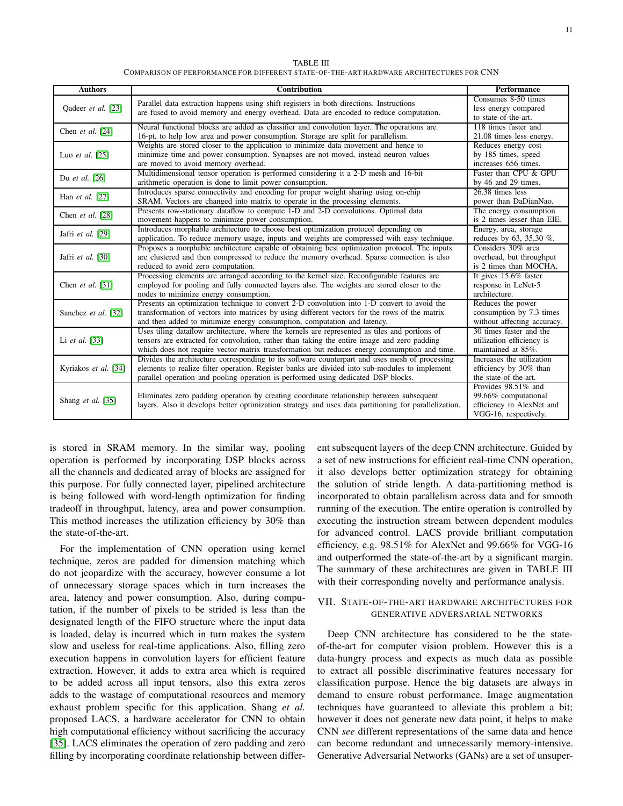TABLE III COMPARISON OF PERFORMANCE FOR DIFFERENT STATE-OF-THE-ART HARDWARE ARCHITECTURES FOR CNN

| <b>Authors</b>         | <b>Contribution</b>                                                                                                                                                                                                                                                                          | <b>Performance</b>                                                                                |
|------------------------|----------------------------------------------------------------------------------------------------------------------------------------------------------------------------------------------------------------------------------------------------------------------------------------------|---------------------------------------------------------------------------------------------------|
| Qadeer et al. [23]     | Parallel data extraction happens using shift registers in both directions. Instructions<br>are fused to avoid memory and energy overhead. Data are encoded to reduce computation.                                                                                                            | Consumes 8-50 times<br>less energy compared<br>to state-of-the-art.                               |
| Chen et al. $[24]$     | Neural functional blocks are added as classifier and convolution layer. The operations are<br>16-pt. to help low area and power consumption. Storage are split for parallelism.                                                                                                              | 118 times faster and<br>21.08 times less energy.                                                  |
| Luo et al. $[25]$      | Weights are stored closer to the application to minimize data movement and hence to<br>minimize time and power consumption. Synapses are not moved, instead neuron values<br>are moved to avoid memory overhead.                                                                             | Reduces energy cost<br>by 185 times, speed<br>increases 656 times.                                |
| Du et al. [26]         | Multidimensional tensor operation is performed considering it a 2-D mesh and 16-bit<br>arithmetic operation is done to limit power consumption.                                                                                                                                              | Faster than CPU & GPU<br>by 46 and 29 times.                                                      |
| Han <i>et al.</i> [27] | Introduces sparse connectivity and encoding for proper weight sharing using on-chip<br>SRAM. Vectors are changed into matrix to operate in the processing elements.                                                                                                                          | 26.38 times less<br>power than DaDianNao.                                                         |
| Chen et al. $[28]$     | Presents row-stationary dataflow to compute 1-D and 2-D convolutions. Optimal data<br>movement happens to minimize power consumption.                                                                                                                                                        | The energy consumption<br>is 2 times lesser than EIE.                                             |
| Jafri et al. [29]      | Introduces morphable architecture to choose best optimization protocol depending on<br>application. To reduce memory usage, inputs and weights are compressed with easy technique.                                                                                                           | Energy, area, storage<br>reduces by 63, 35,30 %.                                                  |
| Jafri et al. [30]      | Proposes a morphable architecture capable of obtaining best optimization protocol. The inputs<br>are clustered and then compressed to reduce the memory overhead. Sparse connection is also<br>reduced to avoid zero computation.                                                            | Considers 30% area<br>overhead, but throughput<br>is 2 times than MOCHA.                          |
| Chen et al. $[31]$     | Processing elements are arranged according to the kernel size. Reconfigurable features are<br>employed for pooling and fully connected layers also. The weights are stored closer to the<br>nodes to minimize energy consumption.                                                            | It gives $15.6\%$ faster<br>response in LeNet-5<br>architecture.                                  |
| Sanchez et al. [32]    | Presents an optimization technique to convert 2-D convolution into 1-D convert to avoid the<br>transformation of vectors into matrices by using different vectors for the rows of the matrix<br>and then added to minimize energy consumption, computation and latency.                      | Reduces the power<br>consumption by 7.3 times<br>without affecting accuracy.                      |
| Li et al. $[33]$       | Uses tiling dataflow architecture, where the kernels are represented as tiles and portions of<br>tensors are extracted for convolution, rather than taking the entire image and zero padding<br>which does not require vector-matrix transformation but reduces energy consumption and time. | 30 times faster and the<br>utilization efficiency is<br>maintained at 85%.                        |
| Kyriakos et al. [34]   | Divides the architecture corresponding to its software counterpart and uses mesh of processing<br>elements to realize filter operation. Register banks are divided into sub-modules to implement<br>parallel operation and pooling operation is performed using dedicated DSP blocks.        | Increases the utilization<br>efficiency by 30% than<br>the state-of-the-art.                      |
| Shang et al. [35]      | Eliminates zero padding operation by creating coordinate relationship between subsequent<br>layers. Also it develops better optimization strategy and uses data partitioning for parallelization.                                                                                            | Provides 98.51% and<br>99.66% computational<br>efficiency in AlexNet and<br>VGG-16, respectively. |

is stored in SRAM memory. In the similar way, pooling operation is performed by incorporating DSP blocks across all the channels and dedicated array of blocks are assigned for this purpose. For fully connected layer, pipelined architecture is being followed with word-length optimization for finding tradeoff in throughput, latency, area and power consumption. This method increases the utilization efficiency by 30% than the state-of-the-art.

For the implementation of CNN operation using kernel technique, zeros are padded for dimension matching which do not jeopardize with the accuracy, however consume a lot of unnecessary storage spaces which in turn increases the area, latency and power consumption. Also, during computation, if the number of pixels to be strided is less than the designated length of the FIFO structure where the input data is loaded, delay is incurred which in turn makes the system slow and useless for real-time applications. Also, filling zero execution happens in convolution layers for efficient feature extraction. However, it adds to extra area which is required to be added across all input tensors, also this extra zeros adds to the wastage of computational resources and memory exhaust problem specific for this application. Shang *et al.* proposed LACS, a hardware accelerator for CNN to obtain high computational efficiency without sacrificing the accuracy [\[35\]](#page-14-34). LACS eliminates the operation of zero padding and zero filling by incorporating coordinate relationship between different subsequent layers of the deep CNN architecture. Guided by a set of new instructions for efficient real-time CNN operation, it also develops better optimization strategy for obtaining the solution of stride length. A data-partitioning method is incorporated to obtain parallelism across data and for smooth running of the execution. The entire operation is controlled by executing the instruction stream between dependent modules for advanced control. LACS provide brilliant computation efficiency, e.g. 98.51% for AlexNet and 99.66% for VGG-16 and outperformed the state-of-the-art by a significant margin. The summary of these architectures are given in TABLE III with their corresponding novelty and performance analysis.

## VII. STATE-OF-THE-ART HARDWARE ARCHITECTURES FOR GENERATIVE ADVERSARIAL NETWORKS

Deep CNN architecture has considered to be the stateof-the-art for computer vision problem. However this is a data-hungry process and expects as much data as possible to extract all possible discriminative features necessary for classification purpose. Hence the big datasets are always in demand to ensure robust performance. Image augmentation techniques have guaranteed to alleviate this problem a bit; however it does not generate new data point, it helps to make CNN *see* different representations of the same data and hence can become redundant and unnecessarily memory-intensive. Generative Adversarial Networks (GANs) are a set of unsuper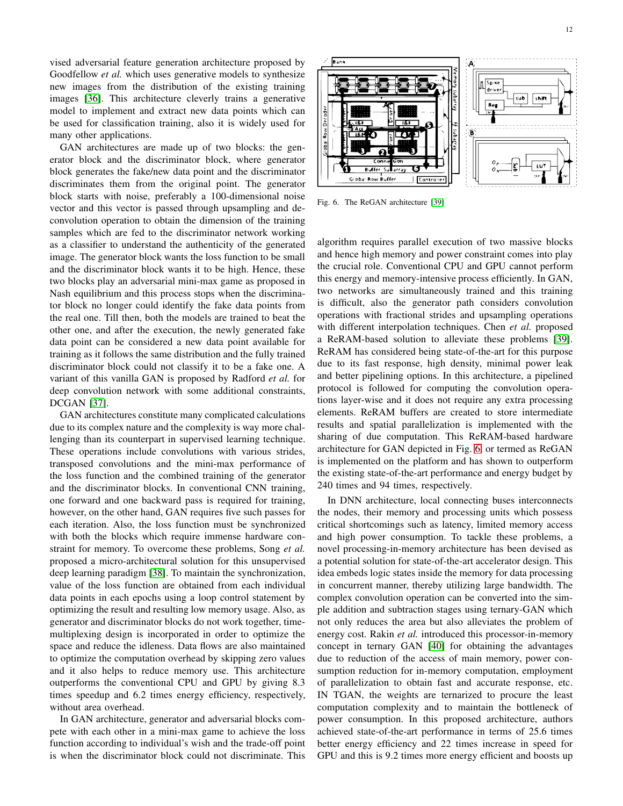vised adversarial feature generation architecture proposed by Goodfellow *et al.* which uses generative models to synthesize new images from the distribution of the existing training images [\[36\]](#page-14-35). This architecture cleverly trains a generative model to implement and extract new data points which can be used for classification training, also it is widely used for many other applications.

GAN architectures are made up of two blocks: the generator block and the discriminator block, where generator block generates the fake/new data point and the discriminator discriminates them from the original point. The generator block starts with noise, preferably a 100-dimensional noise vector and this vector is passed through upsampling and deconvolution operation to obtain the dimension of the training samples which are fed to the discriminator network working as a classifier to understand the authenticity of the generated image. The generator block wants the loss function to be small and the discriminator block wants it to be high. Hence, these two blocks play an adversarial mini-max game as proposed in Nash equilibrium and this process stops when the discriminator block no longer could identify the fake data points from the real one. Till then, both the models are trained to beat the other one, and after the execution, the newly generated fake data point can be considered a new data point available for training as it follows the same distribution and the fully trained discriminator block could not classify it to be a fake one. A variant of this vanilla GAN is proposed by Radford *et al.* for deep convolution network with some additional constraints, DCGAN [\[37\]](#page-14-36).

GAN architectures constitute many complicated calculations due to its complex nature and the complexity is way more challenging than its counterpart in supervised learning technique. These operations include convolutions with various strides, transposed convolutions and the mini-max performance of the loss function and the combined training of the generator and the discriminator blocks. In conventional CNN training, one forward and one backward pass is required for training, however, on the other hand, GAN requires five such passes for each iteration. Also, the loss function must be synchronized with both the blocks which require immense hardware constraint for memory. To overcome these problems, Song *et al.* proposed a micro-architectural solution for this unsupervised deep learning paradigm [\[38\]](#page-14-37). To maintain the synchronization, value of the loss function are obtained from each individual data points in each epochs using a loop control statement by optimizing the result and resulting low memory usage. Also, as generator and discriminator blocks do not work together, timemultiplexing design is incorporated in order to optimize the space and reduce the idleness. Data flows are also maintained to optimize the computation overhead by skipping zero values and it also helps to reduce memory use. This architecture outperforms the conventional CPU and GPU by giving 8.3 times speedup and 6.2 times energy efficiency, respectively, without area overhead.

In GAN architecture, generator and adversarial blocks compete with each other in a mini-max game to achieve the loss function according to individual's wish and the trade-off point is when the discriminator block could not discriminate. This



<span id="page-11-0"></span>Fig. 6. The ReGAN architecture [\[39\]](#page-14-38)

algorithm requires parallel execution of two massive blocks and hence high memory and power constraint comes into play the crucial role. Conventional CPU and GPU cannot perform this energy and memory-intensive process efficiently. In GAN, two networks are simultaneously trained and this training is difficult, also the generator path considers convolution operations with fractional strides and upsampling operations with different interpolation techniques. Chen *et al.* proposed a ReRAM-based solution to alleviate these problems [\[39\]](#page-14-38). ReRAM has considered being state-of-the-art for this purpose due to its fast response, high density, minimal power leak and better pipelining options. In this architecture, a pipelined protocol is followed for computing the convolution operations layer-wise and it does not require any extra processing elements. ReRAM buffers are created to store intermediate results and spatial parallelization is implemented with the sharing of due computation. This ReRAM-based hardware architecture for GAN depicted in Fig. [6,](#page-11-0) or termed as ReGAN is implemented on the platform and has shown to outperform the existing state-of-the-art performance and energy budget by 240 times and 94 times, respectively.

In DNN architecture, local connecting buses interconnects the nodes, their memory and processing units which possess critical shortcomings such as latency, limited memory access and high power consumption. To tackle these problems, a novel processing-in-memory architecture has been devised as a potential solution for state-of-the-art accelerator design. This idea embeds logic states inside the memory for data processing in concurrent manner, thereby utilizing large bandwidth. The complex convolution operation can be converted into the simple addition and subtraction stages using ternary-GAN which not only reduces the area but also alleviates the problem of energy cost. Rakin *et al.* introduced this processor-in-memory concept in ternary GAN [\[40\]](#page-14-39) for obtaining the advantages due to reduction of the access of main memory, power consumption reduction for in-memory computation, employment of parallelization to obtain fast and accurate response, etc. IN TGAN, the weights are ternarized to procure the least computation complexity and to maintain the bottleneck of power consumption. In this proposed architecture, authors achieved state-of-the-art performance in terms of 25.6 times better energy efficiency and 22 times increase in speed for GPU and this is 9.2 times more energy efficient and boosts up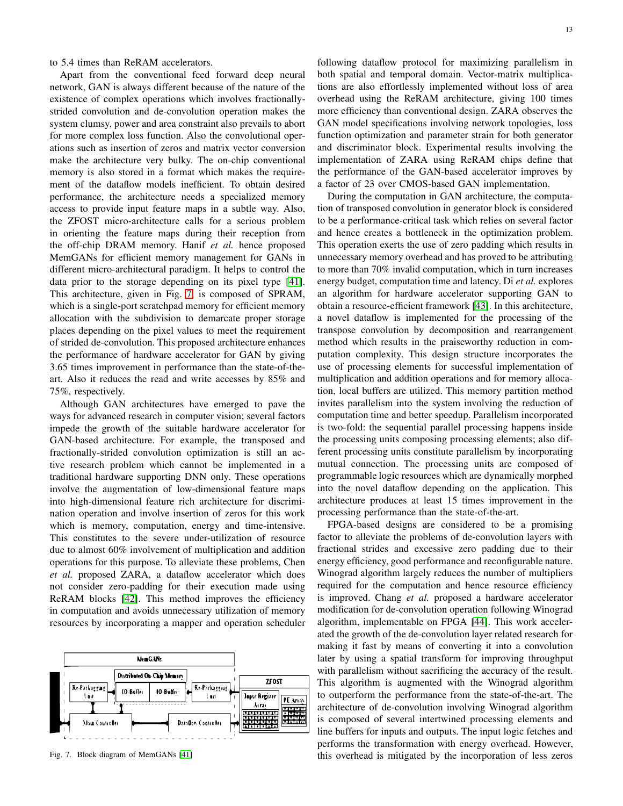### to 5.4 times than ReRAM accelerators.

Apart from the conventional feed forward deep neural network, GAN is always different because of the nature of the existence of complex operations which involves fractionallystrided convolution and de-convolution operation makes the system clumsy, power and area constraint also prevails to abort for more complex loss function. Also the convolutional operations such as insertion of zeros and matrix vector conversion make the architecture very bulky. The on-chip conventional memory is also stored in a format which makes the requirement of the dataflow models inefficient. To obtain desired performance, the architecture needs a specialized memory access to provide input feature maps in a subtle way. Also, the ZFOST micro-architecture calls for a serious problem in orienting the feature maps during their reception from the off-chip DRAM memory. Hanif *et al.* hence proposed MemGANs for efficient memory management for GANs in different micro-architectural paradigm. It helps to control the data prior to the storage depending on its pixel type [\[41\]](#page-14-40). This architecture, given in Fig. [7,](#page-12-0) is composed of SPRAM, which is a single-port scratchpad memory for efficient memory allocation with the subdivision to demarcate proper storage places depending on the pixel values to meet the requirement of strided de-convolution. This proposed architecture enhances the performance of hardware accelerator for GAN by giving 3.65 times improvement in performance than the state-of-theart. Also it reduces the read and write accesses by 85% and 75%, respectively.

Although GAN architectures have emerged to pave the ways for advanced research in computer vision; several factors impede the growth of the suitable hardware accelerator for GAN-based architecture. For example, the transposed and fractionally-strided convolution optimization is still an active research problem which cannot be implemented in a traditional hardware supporting DNN only. These operations involve the augmentation of low-dimensional feature maps into high-dimensional feature rich architecture for discrimination operation and involve insertion of zeros for this work which is memory, computation, energy and time-intensive. This constitutes to the severe under-utilization of resource due to almost 60% involvement of multiplication and addition operations for this purpose. To alleviate these problems, Chen *et al.* proposed ZARA, a dataflow accelerator which does not consider zero-padding for their execution made using ReRAM blocks [\[42\]](#page-15-0). This method improves the efficiency in computation and avoids unnecessary utilization of memory resources by incorporating a mapper and operation scheduler



<span id="page-12-0"></span>Fig. 7. Block diagram of MemGANs [\[41\]](#page-14-40)

following dataflow protocol for maximizing parallelism in both spatial and temporal domain. Vector-matrix multiplications are also effortlessly implemented without loss of area overhead using the ReRAM architecture, giving 100 times more efficiency than conventional design. ZARA observes the GAN model specifications involving network topologies, loss function optimization and parameter strain for both generator and discriminator block. Experimental results involving the implementation of ZARA using ReRAM chips define that the performance of the GAN-based accelerator improves by a factor of 23 over CMOS-based GAN implementation.

During the computation in GAN architecture, the computation of transposed convolution in generator block is considered to be a performance-critical task which relies on several factor and hence creates a bottleneck in the optimization problem. This operation exerts the use of zero padding which results in unnecessary memory overhead and has proved to be attributing to more than 70% invalid computation, which in turn increases energy budget, computation time and latency. Di *et al.* explores an algorithm for hardware accelerator supporting GAN to obtain a resource-efficient framework [\[43\]](#page-15-1). In this architecture, a novel dataflow is implemented for the processing of the transpose convolution by decomposition and rearrangement method which results in the praiseworthy reduction in computation complexity. This design structure incorporates the use of processing elements for successful implementation of multiplication and addition operations and for memory allocation, local buffers are utilized. This memory partition method invites parallelism into the system involving the reduction of computation time and better speedup. Parallelism incorporated is two-fold: the sequential parallel processing happens inside the processing units composing processing elements; also different processing units constitute parallelism by incorporating mutual connection. The processing units are composed of programmable logic resources which are dynamically morphed into the novel dataflow depending on the application. This architecture produces at least 15 times improvement in the processing performance than the state-of-the-art.

FPGA-based designs are considered to be a promising factor to alleviate the problems of de-convolution layers with fractional strides and excessive zero padding due to their energy efficiency, good performance and reconfigurable nature. Winograd algorithm largely reduces the number of multipliers required for the computation and hence resource efficiency is improved. Chang *et al.* proposed a hardware accelerator modification for de-convolution operation following Winograd algorithm, implementable on FPGA [\[44\]](#page-15-2). This work accelerated the growth of the de-convolution layer related research for making it fast by means of converting it into a convolution later by using a spatial transform for improving throughput with parallelism without sacrificing the accuracy of the result. This algorithm is augmented with the Winograd algorithm to outperform the performance from the state-of-the-art. The architecture of de-convolution involving Winograd algorithm is composed of several intertwined processing elements and line buffers for inputs and outputs. The input logic fetches and performs the transformation with energy overhead. However, this overhead is mitigated by the incorporation of less zeros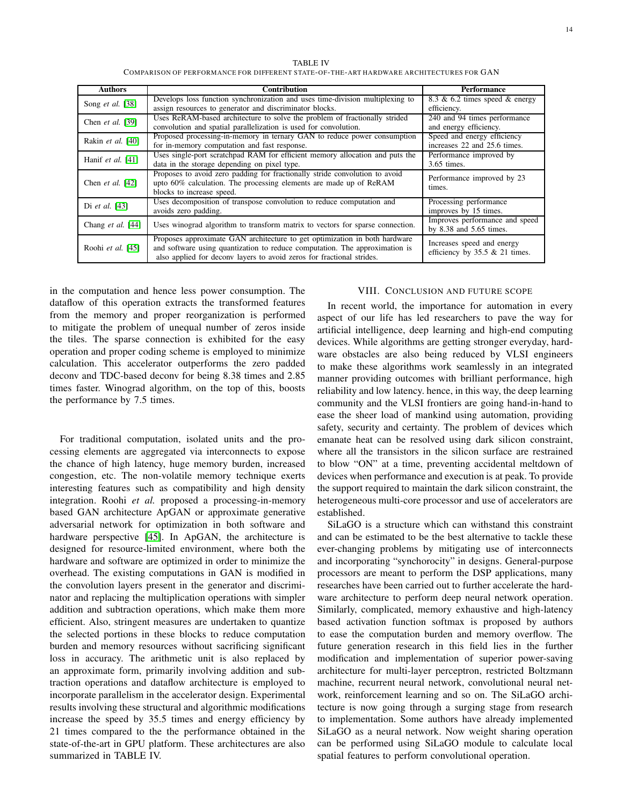TABLE IV COMPARISON OF PERFORMANCE FOR DIFFERENT STATE-OF-THE-ART HARDWARE ARCHITECTURES FOR GAN

| <b>Authors</b>             | <b>Contribution</b>                                                           | <b>Performance</b>                   |
|----------------------------|-------------------------------------------------------------------------------|--------------------------------------|
| Song et al. [38]           | Develops loss function synchronization and uses time-division multiplexing to | 8.3 $\&$ 6.2 times speed $\&$ energy |
|                            | assign resources to generator and discriminator blocks.                       | efficiency.                          |
| Chen et al. [39]           | Uses ReRAM-based architecture to solve the problem of fractionally strided    | 240 and 94 times performance         |
|                            | convolution and spatial parallelization is used for convolution.              | and energy efficiency.               |
| Rakin et al. [40]          | Proposed processing-in-memory in ternary GAN to reduce power consumption      | Speed and energy efficiency          |
|                            | for in-memory computation and fast response.                                  | increases 22 and 25.6 times.         |
| Hanif et al. $[41]$        | Uses single-port scratchpad RAM for efficient memory allocation and puts the  | Performance improved by              |
|                            | data in the storage depending on pixel type.                                  | 3.65 times.                          |
|                            | Proposes to avoid zero padding for fractionally stride convolution to avoid   | Performance improved by 23           |
| Chen <i>et al.</i> [42]    | upto 60% calculation. The processing elements are made up of ReRAM            | times.                               |
|                            | blocks to increase speed.                                                     |                                      |
| Di <i>et al.</i> [43]      | Uses decomposition of transpose convolution to reduce computation and         | Processing performance               |
|                            | avoids zero padding.                                                          | improves by 15 times.                |
| Chang <i>et al.</i> $[44]$ | Uses winograd algorithm to transform matrix to vectors for sparse connection. | Improves performance and speed       |
|                            |                                                                               | by $8.38$ and $5.65$ times.          |
| Roohi et al. [45]          | Proposes approximate GAN architecture to get optimization in both hardware    | Increases speed and energy           |
|                            | and software using quantization to reduce computation. The approximation is   | efficiency by $35.5 \& 21$ times.    |
|                            | also applied for deconv layers to avoid zeros for fractional strides.         |                                      |

in the computation and hence less power consumption. The dataflow of this operation extracts the transformed features from the memory and proper reorganization is performed to mitigate the problem of unequal number of zeros inside the tiles. The sparse connection is exhibited for the easy operation and proper coding scheme is employed to minimize calculation. This accelerator outperforms the zero padded deconv and TDC-based deconv for being 8.38 times and 2.85 times faster. Winograd algorithm, on the top of this, boosts the performance by 7.5 times.

For traditional computation, isolated units and the processing elements are aggregated via interconnects to expose the chance of high latency, huge memory burden, increased congestion, etc. The non-volatile memory technique exerts interesting features such as compatibility and high density integration. Roohi *et al.* proposed a processing-in-memory based GAN architecture ApGAN or approximate generative adversarial network for optimization in both software and hardware perspective [\[45\]](#page-15-3). In ApGAN, the architecture is designed for resource-limited environment, where both the hardware and software are optimized in order to minimize the overhead. The existing computations in GAN is modified in the convolution layers present in the generator and discriminator and replacing the multiplication operations with simpler addition and subtraction operations, which make them more efficient. Also, stringent measures are undertaken to quantize the selected portions in these blocks to reduce computation burden and memory resources without sacrificing significant loss in accuracy. The arithmetic unit is also replaced by an approximate form, primarily involving addition and subtraction operations and dataflow architecture is employed to incorporate parallelism in the accelerator design. Experimental results involving these structural and algorithmic modifications increase the speed by 35.5 times and energy efficiency by 21 times compared to the the performance obtained in the state-of-the-art in GPU platform. These architectures are also summarized in TABLE IV.

## VIII. CONCLUSION AND FUTURE SCOPE

In recent world, the importance for automation in every aspect of our life has led researchers to pave the way for artificial intelligence, deep learning and high-end computing devices. While algorithms are getting stronger everyday, hardware obstacles are also being reduced by VLSI engineers to make these algorithms work seamlessly in an integrated manner providing outcomes with brilliant performance, high reliability and low latency. hence, in this way, the deep learning community and the VLSI frontiers are going hand-in-hand to ease the sheer load of mankind using automation, providing safety, security and certainty. The problem of devices which emanate heat can be resolved using dark silicon constraint, where all the transistors in the silicon surface are restrained to blow "ON" at a time, preventing accidental meltdown of devices when performance and execution is at peak. To provide the support required to maintain the dark silicon constraint, the heterogeneous multi-core processor and use of accelerators are established.

SiLaGO is a structure which can withstand this constraint and can be estimated to be the best alternative to tackle these ever-changing problems by mitigating use of interconnects and incorporating "synchorocity" in designs. General-purpose processors are meant to perform the DSP applications, many researches have been carried out to further accelerate the hardware architecture to perform deep neural network operation. Similarly, complicated, memory exhaustive and high-latency based activation function softmax is proposed by authors to ease the computation burden and memory overflow. The future generation research in this field lies in the further modification and implementation of superior power-saving architecture for multi-layer perceptron, restricted Boltzmann machine, recurrent neural network, convolutional neural network, reinforcement learning and so on. The SiLaGO architecture is now going through a surging stage from research to implementation. Some authors have already implemented SiLaGO as a neural network. Now weight sharing operation can be performed using SiLaGO module to calculate local spatial features to perform convolutional operation.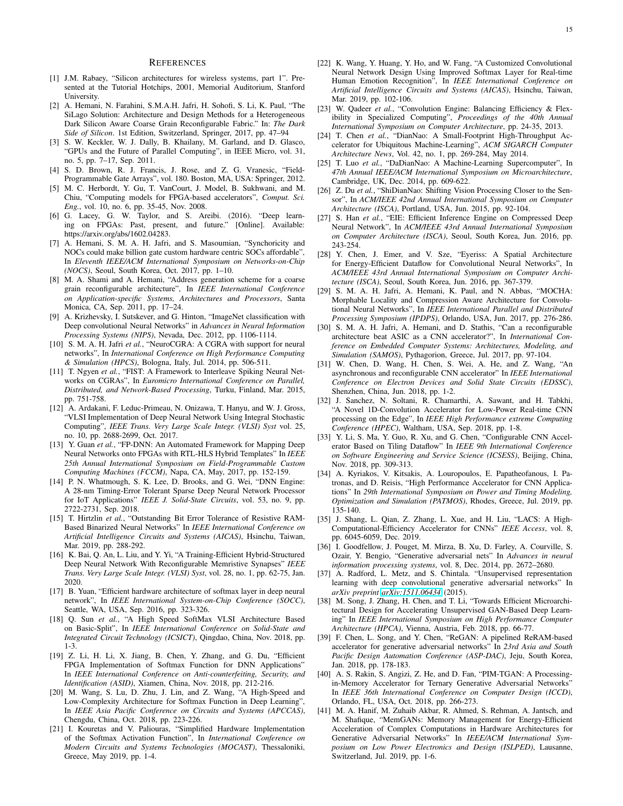#### **REFERENCES**

- <span id="page-14-0"></span>[1] J.M. Rabaey, "Silicon architectures for wireless systems, part 1". Presented at the Tutorial Hotchips, 2001, Memorial Auditorium, Stanford University.
- <span id="page-14-2"></span>[2] A. Hemani, N. Farahini, S.M.A.H. Jafri, H. Sohofi, S. Li, K. Paul, "The SiLago Solution: Architecture and Design Methods for a Heterogeneous Dark Silicon Aware Coarse Grain Reconfigurable Fabric." In: *The Dark Side of Silicon*. 1st Edition, Switzerland, Springer, 2017, pp. 47–94
- <span id="page-14-3"></span>[3] S. W. Keckler, W. J. Dally, B. Khailany, M. Garland, and D. Glasco, "GPUs and the Future of Parallel Computing", in IEEE Micro, vol. 31, no. 5, pp. 7–17, Sep. 2011.
- <span id="page-14-4"></span>[4] S. D. Brown, R. J. Francis, J. Rose, and Z. G. Vranesic, "Field-Programmable Gate Arrays", vol. 180. Boston, MA, USA: Springer, 2012.
- <span id="page-14-5"></span>[5] M. C. Herbordt, Y. Gu, T. VanCourt, J. Model, B. Sukhwani, and M. Chiu, "Computing models for FPGA-based accelerators", *Comput. Sci. Eng.*, vol. 10, no. 6, pp. 35-45, Nov. 2008.
- <span id="page-14-6"></span>[6] G. Lacey, G. W. Taylor, and S. Areibi. (2016). "Deep learning on FPGAs: Past, present, and future." [Online]. Available: https://arxiv.org/abs/1602.04283.
- <span id="page-14-7"></span>[7] A. Hemani, S. M. A. H. Jafri, and S. Masoumian, "Synchoricity and NOCs could make billion gate custom hardware centric SOCs affordable", In *Eleventh IEEE/ACM International Symposium on Networks-on-Chip (NOCS)*, Seoul, South Korea, Oct. 2017, pp. 1–10.
- <span id="page-14-8"></span>[8] M. A. Shami and A. Hemani, "Address generation scheme for a coarse grain reconfigurable architecture", In *IEEE International Conference on Application-specific Systems, Architectures and Processors*, Santa Monica, CA, Sep. 2011, pp. 17–24.
- <span id="page-14-9"></span>[9] A. Krizhevsky, I. Sutskever, and G. Hinton, "ImageNet classification with Deep convolutional Neural Networks" in *Advances in Neural Information Processing Systems (NIPS)*, Nevada, Dec. 2012, pp. 1106-1114.
- <span id="page-14-10"></span>[10] S. M. A. H. Jafri *et al.*, "NeuroCGRA: A CGRA with support for neural networks", In *International Conference on High Performance Computing & Simulation (HPCS)*, Bologna, Italy, Jul. 2014, pp. 506-511.
- <span id="page-14-11"></span>[11] T. Ngyen *et al.*, "FIST: A Framework to Interleave Spiking Neural Networks on CGRAs", In *Euromicro International Conference on Parallel, Distributed, and Network-Based Processing*, Turku, Finland, Mar. 2015, pp. 751-758.
- <span id="page-14-1"></span>[12] A. Ardakani, F. Leduc-Primeau, N. Onizawa, T. Hanyu, and W. J. Gross, "VLSI Implementation of Deep Neural Network Using Integral Stochastic Computing", *IEEE Trans. Very Large Scale Integr. (VLSI) Syst* vol. 25, no. 10, pp. 2688-2699, Oct. 2017.
- <span id="page-14-12"></span>[13] Y. Guan *et al.*, "FP-DNN: An Automated Framework for Mapping Deep Neural Networks onto FPGAs with RTL-HLS Hybrid Templates" In *IEEE 25th Annual International Symposium on Field-Programmable Custom Computing Machines (FCCM)*, Napa, CA, May, 2017, pp. 152-159.
- <span id="page-14-13"></span>[14] P. N. Whatmough, S. K. Lee, D. Brooks, and G. Wei, "DNN Engine: A 28-nm Timing-Error Tolerant Sparse Deep Neural Network Processor for IoT Applications" *IEEE J. Solid-State Circuits*, vol. 53, no. 9, pp. 2722-2731, Sep. 2018.
- <span id="page-14-14"></span>[15] T. Hirtzlin et al., "Outstanding Bit Error Tolerance of Resistive RAM-Based Binarized Neural Networks" In *IEEE International Conference on Artificial Intelligence Circuits and Systems (AICAS)*, Hsinchu, Taiwan, Mar. 2019, pp. 288-292.
- <span id="page-14-15"></span>[16] K. Bai, Q. An, L. Liu, and Y. Yi, "A Training-Efficient Hybrid-Structured Deep Neural Network With Reconfigurable Memristive Synapses" *IEEE Trans. Very Large Scale Integr. (VLSI) Syst*, vol. 28, no. 1, pp. 62-75, Jan. 2020.
- <span id="page-14-16"></span>[17] B. Yuan, "Efficient hardware architecture of softmax layer in deep neural network", In *IEEE International System-on-Chip Conference (SOCC)*, Seattle, WA, USA, Sep. 2016, pp. 323-326.
- <span id="page-14-17"></span>[18] Q. Sun *et al.*, "A High Speed SoftMax VLSI Architecture Based on Basic-Split", In *IEEE International Conference on Solid-State and Integrated Circuit Technology (ICSICT)*, Qingdao, China, Nov. 2018, pp. 1-3.
- <span id="page-14-18"></span>[19] Z. Li, H. Li, X. Jiang, B. Chen, Y. Zhang, and G. Du, "Efficient FPGA Implementation of Softmax Function for DNN Applications" In *IEEE International Conference on Anti-counterfeiting, Security, and Identification (ASID)*, Xiamen, China, Nov. 2018, pp. 212-216.
- <span id="page-14-19"></span>[20] M. Wang, S. Lu, D. Zhu, J. Lin, and Z. Wang, "A High-Speed and Low-Complexity Architecture for Softmax Function in Deep Learning", In *IEEE Asia Pacific Conference on Circuits and Systems (APCCAS)*, Chengdu, China, Oct. 2018, pp. 223-226.
- <span id="page-14-20"></span>[21] I. Kouretas and V. Paliouras, "Simplified Hardware Implementation of the Softmax Activation Function", In *International Conference on Modern Circuits and Systems Technologies (MOCAST)*, Thessaloniki, Greece, May 2019, pp. 1-4.
- <span id="page-14-21"></span>[22] K. Wang, Y. Huang, Y. Ho, and W. Fang, "A Customized Convolutional Neural Network Design Using Improved Softmax Layer for Real-time Human Emotion Recognition", In *IEEE International Conference on Artificial Intelligence Circuits and Systems (AICAS)*, Hsinchu, Taiwan, Mar. 2019, pp. 102-106.
- <span id="page-14-22"></span>[23] W. Qadeer *et al.*, "Convolution Engine: Balancing Efficiency & Flexibility in Specialized Computing", *Proceedings of the 40th Annual International Symposium on Computer Architecture*, pp. 24-35, 2013.
- <span id="page-14-23"></span>[24] T. Chen *et al.*, "DianNao: A Small-Footprint High-Throughput Accelerator for Ubiquitous Machine-Learning", *ACM SIGARCH Computer Architecture News*, Vol. 42, no. 1, pp. 269-284, May 2014.
- <span id="page-14-24"></span>[25] T. Luo et al., "DaDianNao: A Machine-Learning Supercomputer", In *47th Annual IEEE/ACM International Symposium on Microarchitecture*, Cambridge, UK, Dec. 2014, pp. 609-622.
- <span id="page-14-25"></span>[26] Z. Du et al., "ShiDianNao: Shifting Vision Processing Closer to the Sensor", In *ACM/IEEE 42nd Annual International Symposium on Computer Architecture (ISCA)*, Portland, USA, Jun. 2015, pp. 92-104.
- <span id="page-14-26"></span>[27] S. Han *et al.*, "EIE: Efficient Inference Engine on Compressed Deep Neural Network", In *ACM/IEEE 43rd Annual International Symposium on Computer Architecture (ISCA)*, Seoul, South Korea, Jun. 2016, pp. 243-254.
- <span id="page-14-27"></span>[28] Y. Chen, J. Emer, and V. Sze, "Eyeriss: A Spatial Architecture for Energy-Efficient Dataflow for Convolutional Neural Networks", In *ACM/IEEE 43rd Annual International Symposium on Computer Architecture (ISCA)*, Seoul, South Korea, Jun. 2016, pp. 367-379.
- <span id="page-14-28"></span>[29] S. M. A. H. Jafri, A. Hemani, K. Paul, and N. Abbas, "MOCHA: Morphable Locality and Compression Aware Architecture for Convolutional Neural Networks", In *IEEE International Parallel and Distributed Processing Symposium (IPDPS)*, Orlando, USA, Jun. 2017, pp. 276-286.
- <span id="page-14-29"></span>[30] S. M. A. H. Jafri, A. Hemani, and D. Stathis, "Can a reconfigurable architecture beat ASIC as a CNN accelerator?", In *International Conference on Embedded Computer Systems: Architectures, Modeling, and Simulation (SAMOS)*, Pythagorion, Greece, Jul. 2017, pp. 97-104.
- <span id="page-14-30"></span>[31] W. Chen, D. Wang, H. Chen, S. Wei, A. He, and Z. Wang, "An asynchronous and reconfigurable CNN accelerator" In *IEEE International Conference on Electron Devices and Solid State Circuits (EDSSC)*, Shenzhen, China, Jun. 2018, pp. 1-2.
- <span id="page-14-31"></span>[32] J. Sanchez, N. Soltani, R. Chamarthi, A. Sawant, and H. Tabkhi, "A Novel 1D-Convolution Accelerator for Low-Power Real-time CNN processing on the Edge", In *IEEE High Performance extreme Computing Conference (HPEC)*, Waltham, USA, Sep. 2018, pp. 1-8.
- <span id="page-14-32"></span>[33] Y. Li, S. Ma, Y. Guo, R. Xu, and G. Chen, "Configurable CNN Accelerator Based on Tiling Dataflow" In *IEEE 9th International Conference on Software Engineering and Service Science (ICSESS)*, Beijing, China, Nov. 2018, pp. 309-313.
- <span id="page-14-33"></span>[34] A. Kyriakos, V. Kitsakis, A. Louropoulos, E. Papatheofanous, I. Patronas, and D. Reisis, "High Performance Accelerator for CNN Applications" In *29th International Symposium on Power and Timing Modeling, Optimization and Simulation (PATMOS)*, Rhodes, Greece, Jul. 2019, pp. 135-140.
- <span id="page-14-34"></span>[35] J. Shang, L. Qian, Z. Zhang, L. Xue, and H. Liu, "LACS: A High-Computational-Efficiency Accelerator for CNNs" *IEEE Access*, vol. 8, pp. 6045-6059, Dec. 2019.
- <span id="page-14-35"></span>[36] I. Goodfellow, J. Pouget, M. Mirza, B. Xu, D. Farley, A. Courville, S. Ozair, Y. Bengio, "Generative adversarial nets" In *Advances in neural information processing systems*, vol. 8, Dec. 2014, pp. 2672–2680.
- <span id="page-14-36"></span>[37] A. Radford, L. Metz, and S. Chintala. "Unsupervised representation learning with deep convolutional generative adversarial networks" In *arXiv preprint [arXiv:1511.06434](http://arxiv.org/abs/1511.06434)* (2015).
- <span id="page-14-37"></span>[38] M. Song, J. Zhang, H. Chen, and T. Li, "Towards Efficient Microarchitectural Design for Accelerating Unsupervised GAN-Based Deep Learning" In *IEEE International Symposium on High Performance Computer Architecture (HPCA)*, Vienna, Austria, Feb. 2018, pp. 66-77.
- <span id="page-14-38"></span>[39] F. Chen, L. Song, and Y. Chen, "ReGAN: A pipelined ReRAM-based accelerator for generative adversarial networks" In *23rd Asia and South Pacific Design Automation Conference (ASP-DAC)*, Jeju, South Korea, Jan. 2018, pp. 178-183.
- <span id="page-14-39"></span>[40] A. S. Rakin, S. Angizi, Z. He, and D. Fan, "PIM-TGAN: A Processingin-Memory Accelerator for Ternary Generative Adversarial Networks" In *IEEE 36th International Conference on Computer Design (ICCD)*, Orlando, FL, USA, Oct. 2018, pp. 266-273.
- <span id="page-14-40"></span>[41] M. A. Hanif, M. Zuhaib Akbar, R. Ahmed, S. Rehman, A. Jantsch, and M. Shafique, "MemGANs: Memory Management for Energy-Efficient Acceleration of Complex Computations in Hardware Architectures for Generative Adversarial Networks" In *IEEE/ACM International Symposium on Low Power Electronics and Design (ISLPED)*, Lausanne, Switzerland, Jul. 2019, pp. 1-6.